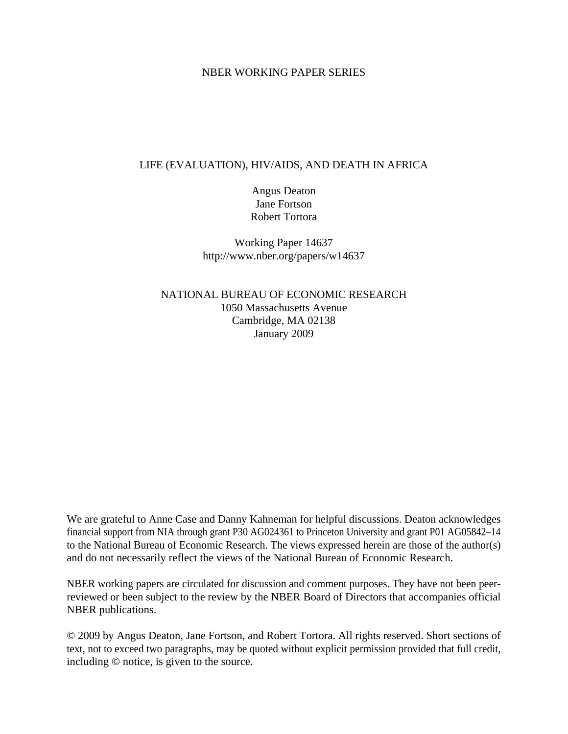### NBER WORKING PAPER SERIES

## LIFE (EVALUATION), HIV/AIDS, AND DEATH IN AFRICA

Angus Deaton Jane Fortson Robert Tortora

Working Paper 14637 http://www.nber.org/papers/w14637

NATIONAL BUREAU OF ECONOMIC RESEARCH 1050 Massachusetts Avenue Cambridge, MA 02138 January 2009

We are grateful to Anne Case and Danny Kahneman for helpful discussions. Deaton acknowledges financial support from NIA through grant P30 AG024361 to Princeton University and grant P01 AG05842–14 to the National Bureau of Economic Research. The views expressed herein are those of the author(s) and do not necessarily reflect the views of the National Bureau of Economic Research.

NBER working papers are circulated for discussion and comment purposes. They have not been peerreviewed or been subject to the review by the NBER Board of Directors that accompanies official NBER publications.

© 2009 by Angus Deaton, Jane Fortson, and Robert Tortora. All rights reserved. Short sections of text, not to exceed two paragraphs, may be quoted without explicit permission provided that full credit, including © notice, is given to the source.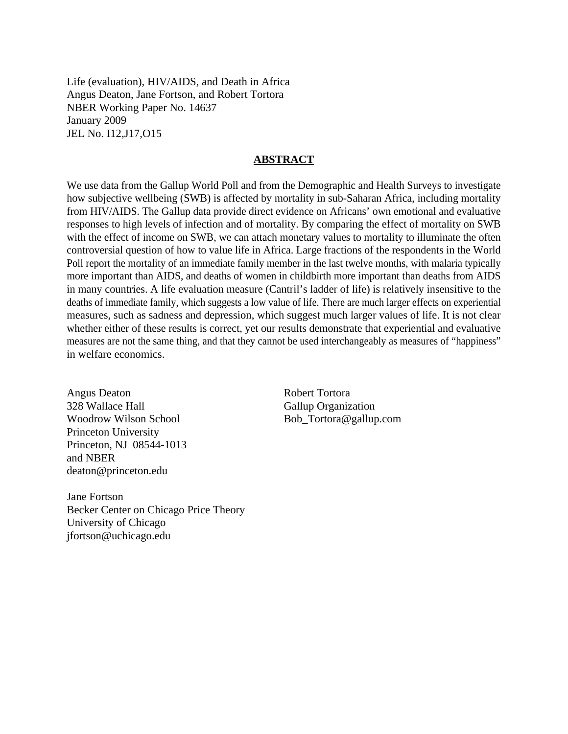Life (evaluation), HIV/AIDS, and Death in Africa Angus Deaton, Jane Fortson, and Robert Tortora NBER Working Paper No. 14637 January 2009 JEL No. I12,J17,O15

### **ABSTRACT**

We use data from the Gallup World Poll and from the Demographic and Health Surveys to investigate how subjective wellbeing (SWB) is affected by mortality in sub-Saharan Africa, including mortality from HIV/AIDS. The Gallup data provide direct evidence on Africans' own emotional and evaluative responses to high levels of infection and of mortality. By comparing the effect of mortality on SWB with the effect of income on SWB, we can attach monetary values to mortality to illuminate the often controversial question of how to value life in Africa. Large fractions of the respondents in the World Poll report the mortality of an immediate family member in the last twelve months, with malaria typically more important than AIDS, and deaths of women in childbirth more important than deaths from AIDS in many countries. A life evaluation measure (Cantril's ladder of life) is relatively insensitive to the deaths of immediate family, which suggests a low value of life. There are much larger effects on experiential measures, such as sadness and depression, which suggest much larger values of life. It is not clear whether either of these results is correct, yet our results demonstrate that experiential and evaluative measures are not the same thing, and that they cannot be used interchangeably as measures of "happiness" in welfare economics.

Angus Deaton 328 Wallace Hall Woodrow Wilson School Princeton University Princeton, NJ 08544-1013 and NBER deaton@princeton.edu

Jane Fortson Becker Center on Chicago Price Theory University of Chicago jfortson@uchicago.edu

Robert Tortora Gallup Organization Bob\_Tortora@gallup.com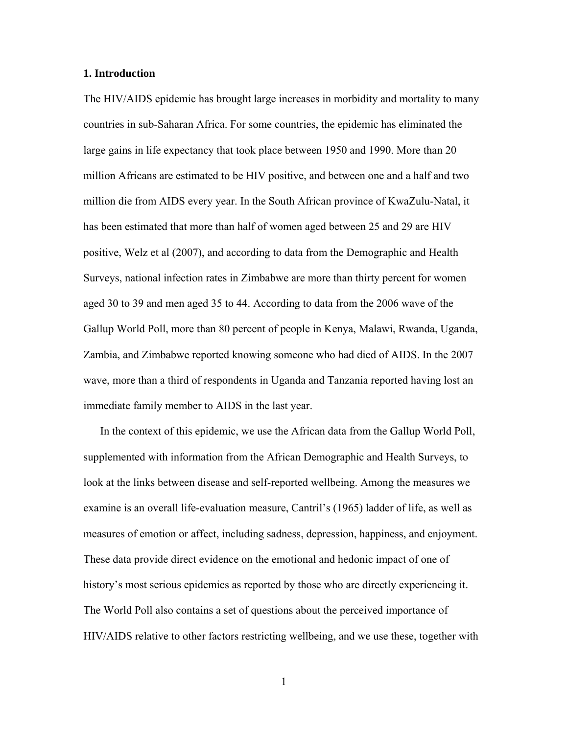#### **1. Introduction**

The HIV/AIDS epidemic has brought large increases in morbidity and mortality to many countries in sub-Saharan Africa. For some countries, the epidemic has eliminated the large gains in life expectancy that took place between 1950 and 1990. More than 20 million Africans are estimated to be HIV positive, and between one and a half and two million die from AIDS every year. In the South African province of KwaZulu-Natal, it has been estimated that more than half of women aged between 25 and 29 are HIV positive, Welz et al (2007), and according to data from the Demographic and Health Surveys, national infection rates in Zimbabwe are more than thirty percent for women aged 30 to 39 and men aged 35 to 44. According to data from the 2006 wave of the Gallup World Poll, more than 80 percent of people in Kenya, Malawi, Rwanda, Uganda, Zambia, and Zimbabwe reported knowing someone who had died of AIDS. In the 2007 wave, more than a third of respondents in Uganda and Tanzania reported having lost an immediate family member to AIDS in the last year.

 In the context of this epidemic, we use the African data from the Gallup World Poll, supplemented with information from the African Demographic and Health Surveys, to look at the links between disease and self-reported wellbeing. Among the measures we examine is an overall life-evaluation measure, Cantril's (1965) ladder of life, as well as measures of emotion or affect, including sadness, depression, happiness, and enjoyment. These data provide direct evidence on the emotional and hedonic impact of one of history's most serious epidemics as reported by those who are directly experiencing it. The World Poll also contains a set of questions about the perceived importance of HIV/AIDS relative to other factors restricting wellbeing, and we use these, together with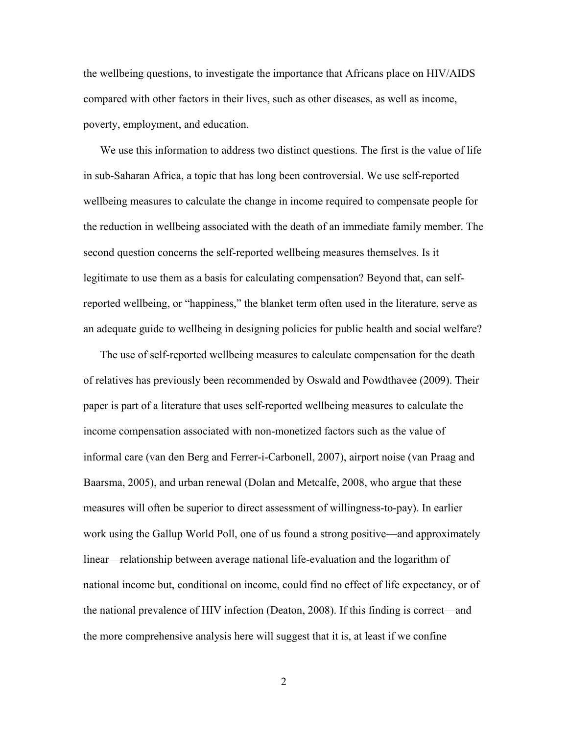the wellbeing questions, to investigate the importance that Africans place on HIV/AIDS compared with other factors in their lives, such as other diseases, as well as income, poverty, employment, and education.

 We use this information to address two distinct questions. The first is the value of life in sub-Saharan Africa, a topic that has long been controversial. We use self-reported wellbeing measures to calculate the change in income required to compensate people for the reduction in wellbeing associated with the death of an immediate family member. The second question concerns the self-reported wellbeing measures themselves. Is it legitimate to use them as a basis for calculating compensation? Beyond that, can selfreported wellbeing, or "happiness," the blanket term often used in the literature, serve as an adequate guide to wellbeing in designing policies for public health and social welfare?

 The use of self-reported wellbeing measures to calculate compensation for the death of relatives has previously been recommended by Oswald and Powdthavee (2009). Their paper is part of a literature that uses self-reported wellbeing measures to calculate the income compensation associated with non-monetized factors such as the value of informal care (van den Berg and Ferrer-i-Carbonell, 2007), airport noise (van Praag and Baarsma, 2005), and urban renewal (Dolan and Metcalfe, 2008, who argue that these measures will often be superior to direct assessment of willingness-to-pay). In earlier work using the Gallup World Poll, one of us found a strong positive—and approximately linear—relationship between average national life-evaluation and the logarithm of national income but, conditional on income, could find no effect of life expectancy, or of the national prevalence of HIV infection (Deaton, 2008). If this finding is correct—and the more comprehensive analysis here will suggest that it is, at least if we confine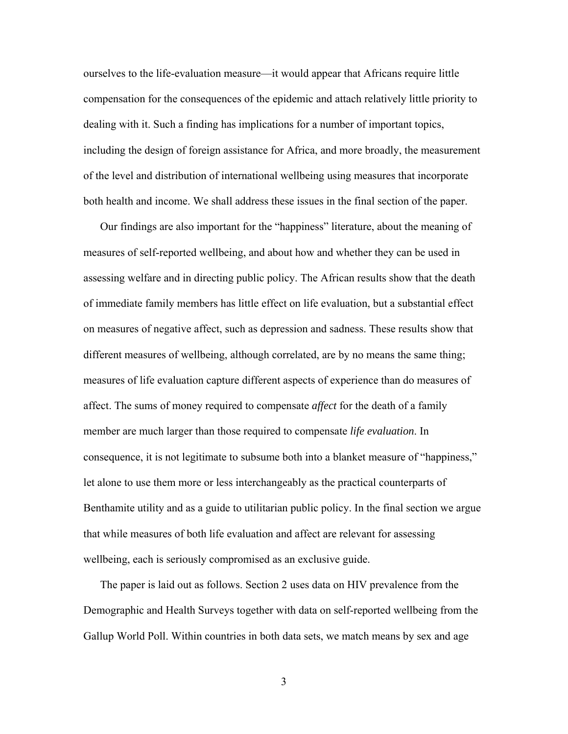ourselves to the life-evaluation measure—it would appear that Africans require little compensation for the consequences of the epidemic and attach relatively little priority to dealing with it. Such a finding has implications for a number of important topics, including the design of foreign assistance for Africa, and more broadly, the measurement of the level and distribution of international wellbeing using measures that incorporate both health and income. We shall address these issues in the final section of the paper.

 Our findings are also important for the "happiness" literature, about the meaning of measures of self-reported wellbeing, and about how and whether they can be used in assessing welfare and in directing public policy. The African results show that the death of immediate family members has little effect on life evaluation, but a substantial effect on measures of negative affect, such as depression and sadness. These results show that different measures of wellbeing, although correlated, are by no means the same thing; measures of life evaluation capture different aspects of experience than do measures of affect. The sums of money required to compensate *affect* for the death of a family member are much larger than those required to compensate *life evaluation*. In consequence, it is not legitimate to subsume both into a blanket measure of "happiness," let alone to use them more or less interchangeably as the practical counterparts of Benthamite utility and as a guide to utilitarian public policy. In the final section we argue that while measures of both life evaluation and affect are relevant for assessing wellbeing, each is seriously compromised as an exclusive guide.

 The paper is laid out as follows. Section 2 uses data on HIV prevalence from the Demographic and Health Surveys together with data on self-reported wellbeing from the Gallup World Poll. Within countries in both data sets, we match means by sex and age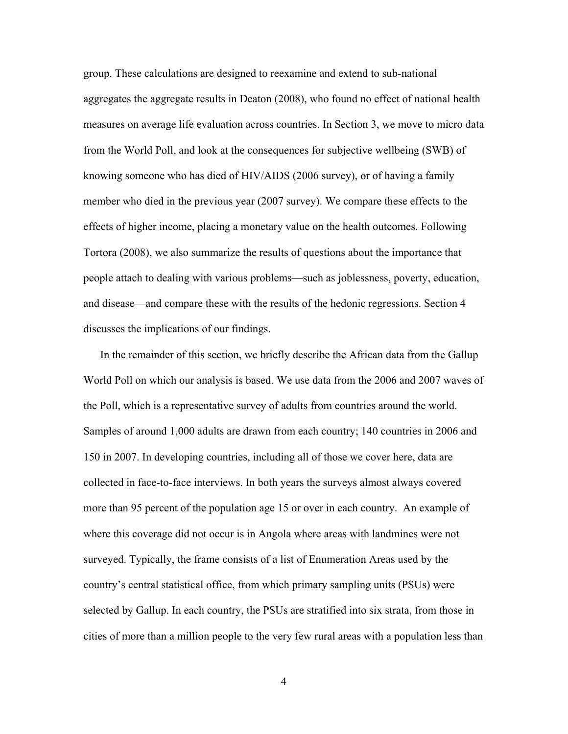group. These calculations are designed to reexamine and extend to sub-national aggregates the aggregate results in Deaton (2008), who found no effect of national health measures on average life evaluation across countries. In Section 3, we move to micro data from the World Poll, and look at the consequences for subjective wellbeing (SWB) of knowing someone who has died of HIV/AIDS (2006 survey), or of having a family member who died in the previous year (2007 survey). We compare these effects to the effects of higher income, placing a monetary value on the health outcomes. Following Tortora (2008), we also summarize the results of questions about the importance that people attach to dealing with various problems—such as joblessness, poverty, education, and disease—and compare these with the results of the hedonic regressions. Section 4 discusses the implications of our findings.

 In the remainder of this section, we briefly describe the African data from the Gallup World Poll on which our analysis is based. We use data from the 2006 and 2007 waves of the Poll, which is a representative survey of adults from countries around the world. Samples of around 1,000 adults are drawn from each country; 140 countries in 2006 and 150 in 2007. In developing countries, including all of those we cover here, data are collected in face-to-face interviews. In both years the surveys almost always covered more than 95 percent of the population age 15 or over in each country. An example of where this coverage did not occur is in Angola where areas with landmines were not surveyed. Typically, the frame consists of a list of Enumeration Areas used by the country's central statistical office, from which primary sampling units (PSUs) were selected by Gallup. In each country, the PSUs are stratified into six strata, from those in cities of more than a million people to the very few rural areas with a population less than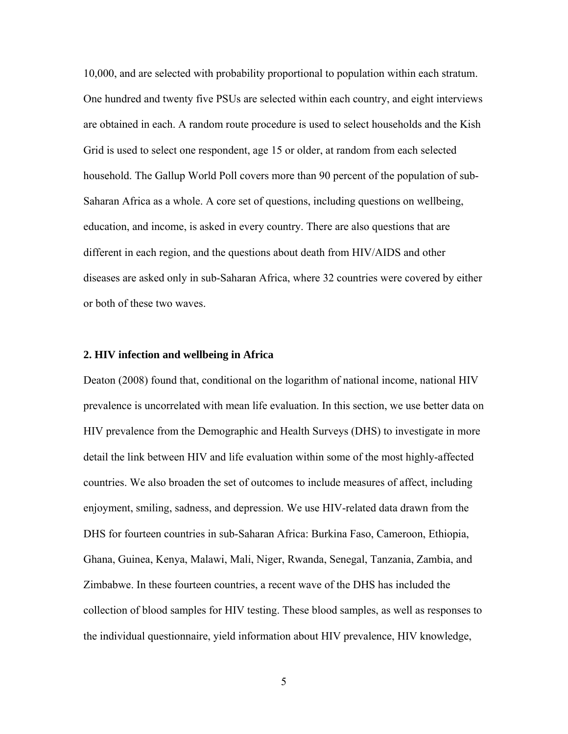10,000, and are selected with probability proportional to population within each stratum. One hundred and twenty five PSUs are selected within each country, and eight interviews are obtained in each. A random route procedure is used to select households and the Kish Grid is used to select one respondent, age 15 or older, at random from each selected household. The Gallup World Poll covers more than 90 percent of the population of sub-Saharan Africa as a whole. A core set of questions, including questions on wellbeing, education, and income, is asked in every country. There are also questions that are different in each region, and the questions about death from HIV/AIDS and other diseases are asked only in sub-Saharan Africa, where 32 countries were covered by either or both of these two waves.

#### **2. HIV infection and wellbeing in Africa**

Deaton (2008) found that, conditional on the logarithm of national income, national HIV prevalence is uncorrelated with mean life evaluation. In this section, we use better data on HIV prevalence from the Demographic and Health Surveys (DHS) to investigate in more detail the link between HIV and life evaluation within some of the most highly-affected countries. We also broaden the set of outcomes to include measures of affect, including enjoyment, smiling, sadness, and depression. We use HIV-related data drawn from the DHS for fourteen countries in sub-Saharan Africa: Burkina Faso, Cameroon, Ethiopia, Ghana, Guinea, Kenya, Malawi, Mali, Niger, Rwanda, Senegal, Tanzania, Zambia, and Zimbabwe. In these fourteen countries, a recent wave of the DHS has included the collection of blood samples for HIV testing. These blood samples, as well as responses to the individual questionnaire, yield information about HIV prevalence, HIV knowledge,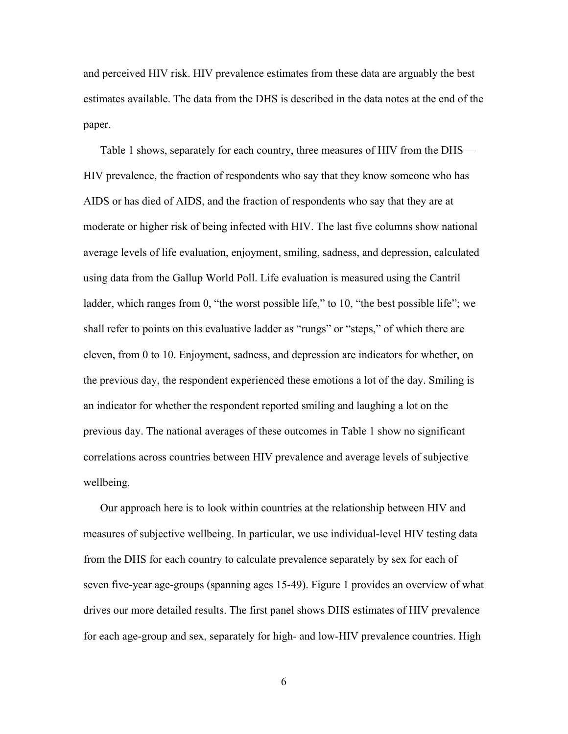and perceived HIV risk. HIV prevalence estimates from these data are arguably the best estimates available. The data from the DHS is described in the data notes at the end of the paper.

 Table 1 shows, separately for each country, three measures of HIV from the DHS— HIV prevalence, the fraction of respondents who say that they know someone who has AIDS or has died of AIDS, and the fraction of respondents who say that they are at moderate or higher risk of being infected with HIV. The last five columns show national average levels of life evaluation, enjoyment, smiling, sadness, and depression, calculated using data from the Gallup World Poll. Life evaluation is measured using the Cantril ladder, which ranges from 0, "the worst possible life," to 10, "the best possible life"; we shall refer to points on this evaluative ladder as "rungs" or "steps," of which there are eleven, from 0 to 10. Enjoyment, sadness, and depression are indicators for whether, on the previous day, the respondent experienced these emotions a lot of the day. Smiling is an indicator for whether the respondent reported smiling and laughing a lot on the previous day. The national averages of these outcomes in Table 1 show no significant correlations across countries between HIV prevalence and average levels of subjective wellbeing.

 Our approach here is to look within countries at the relationship between HIV and measures of subjective wellbeing. In particular, we use individual-level HIV testing data from the DHS for each country to calculate prevalence separately by sex for each of seven five-year age-groups (spanning ages 15-49). Figure 1 provides an overview of what drives our more detailed results. The first panel shows DHS estimates of HIV prevalence for each age-group and sex, separately for high- and low-HIV prevalence countries. High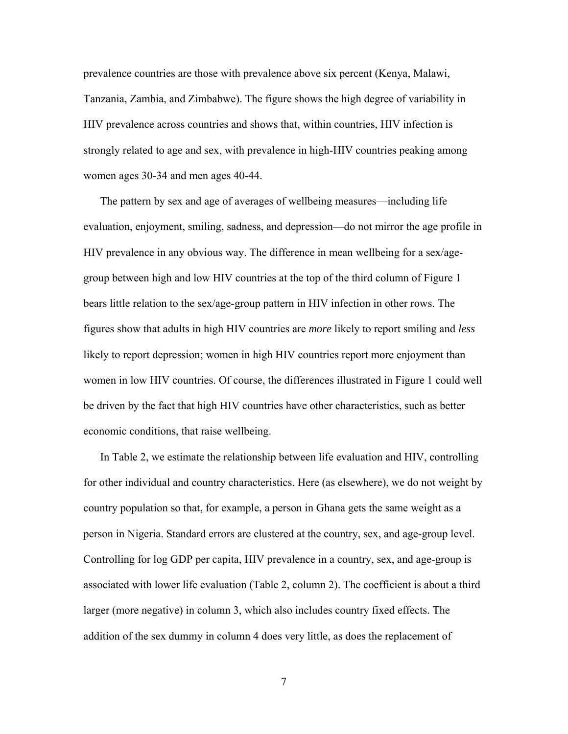prevalence countries are those with prevalence above six percent (Kenya, Malawi, Tanzania, Zambia, and Zimbabwe). The figure shows the high degree of variability in HIV prevalence across countries and shows that, within countries, HIV infection is strongly related to age and sex, with prevalence in high-HIV countries peaking among women ages 30-34 and men ages 40-44.

 The pattern by sex and age of averages of wellbeing measures—including life evaluation, enjoyment, smiling, sadness, and depression—do not mirror the age profile in HIV prevalence in any obvious way. The difference in mean wellbeing for a sex/agegroup between high and low HIV countries at the top of the third column of Figure 1 bears little relation to the sex/age-group pattern in HIV infection in other rows. The figures show that adults in high HIV countries are *more* likely to report smiling and *less* likely to report depression; women in high HIV countries report more enjoyment than women in low HIV countries. Of course, the differences illustrated in Figure 1 could well be driven by the fact that high HIV countries have other characteristics, such as better economic conditions, that raise wellbeing.

 In Table 2, we estimate the relationship between life evaluation and HIV, controlling for other individual and country characteristics. Here (as elsewhere), we do not weight by country population so that, for example, a person in Ghana gets the same weight as a person in Nigeria. Standard errors are clustered at the country, sex, and age-group level. Controlling for log GDP per capita, HIV prevalence in a country, sex, and age-group is associated with lower life evaluation (Table 2, column 2). The coefficient is about a third larger (more negative) in column 3, which also includes country fixed effects. The addition of the sex dummy in column 4 does very little, as does the replacement of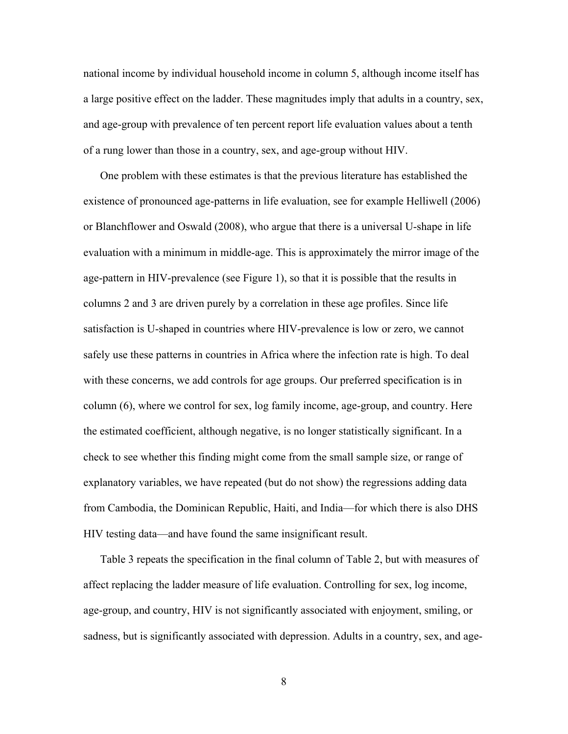national income by individual household income in column 5, although income itself has a large positive effect on the ladder. These magnitudes imply that adults in a country, sex, and age-group with prevalence of ten percent report life evaluation values about a tenth of a rung lower than those in a country, sex, and age-group without HIV.

 One problem with these estimates is that the previous literature has established the existence of pronounced age-patterns in life evaluation, see for example Helliwell (2006) or Blanchflower and Oswald (2008), who argue that there is a universal U-shape in life evaluation with a minimum in middle-age. This is approximately the mirror image of the age-pattern in HIV-prevalence (see Figure 1), so that it is possible that the results in columns 2 and 3 are driven purely by a correlation in these age profiles. Since life satisfaction is U-shaped in countries where HIV-prevalence is low or zero, we cannot safely use these patterns in countries in Africa where the infection rate is high. To deal with these concerns, we add controls for age groups. Our preferred specification is in column (6), where we control for sex, log family income, age-group, and country. Here the estimated coefficient, although negative, is no longer statistically significant. In a check to see whether this finding might come from the small sample size, or range of explanatory variables, we have repeated (but do not show) the regressions adding data from Cambodia, the Dominican Republic, Haiti, and India—for which there is also DHS HIV testing data—and have found the same insignificant result.

 Table 3 repeats the specification in the final column of Table 2, but with measures of affect replacing the ladder measure of life evaluation. Controlling for sex, log income, age-group, and country, HIV is not significantly associated with enjoyment, smiling, or sadness, but is significantly associated with depression. Adults in a country, sex, and age-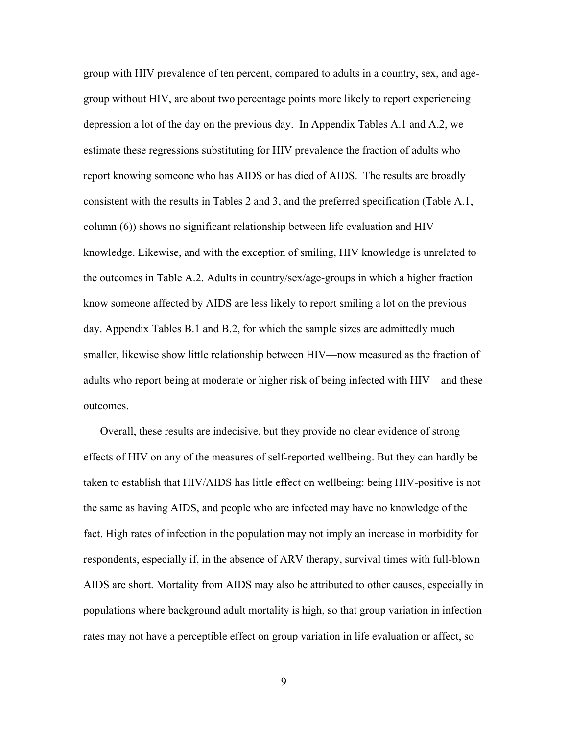group with HIV prevalence of ten percent, compared to adults in a country, sex, and agegroup without HIV, are about two percentage points more likely to report experiencing depression a lot of the day on the previous day. In Appendix Tables A.1 and A.2, we estimate these regressions substituting for HIV prevalence the fraction of adults who report knowing someone who has AIDS or has died of AIDS. The results are broadly consistent with the results in Tables 2 and 3, and the preferred specification (Table A.1, column (6)) shows no significant relationship between life evaluation and HIV knowledge. Likewise, and with the exception of smiling, HIV knowledge is unrelated to the outcomes in Table A.2. Adults in country/sex/age-groups in which a higher fraction know someone affected by AIDS are less likely to report smiling a lot on the previous day. Appendix Tables B.1 and B.2, for which the sample sizes are admittedly much smaller, likewise show little relationship between HIV—now measured as the fraction of adults who report being at moderate or higher risk of being infected with HIV—and these outcomes.

 Overall, these results are indecisive, but they provide no clear evidence of strong effects of HIV on any of the measures of self-reported wellbeing. But they can hardly be taken to establish that HIV/AIDS has little effect on wellbeing: being HIV-positive is not the same as having AIDS, and people who are infected may have no knowledge of the fact. High rates of infection in the population may not imply an increase in morbidity for respondents, especially if, in the absence of ARV therapy, survival times with full-blown AIDS are short. Mortality from AIDS may also be attributed to other causes, especially in populations where background adult mortality is high, so that group variation in infection rates may not have a perceptible effect on group variation in life evaluation or affect, so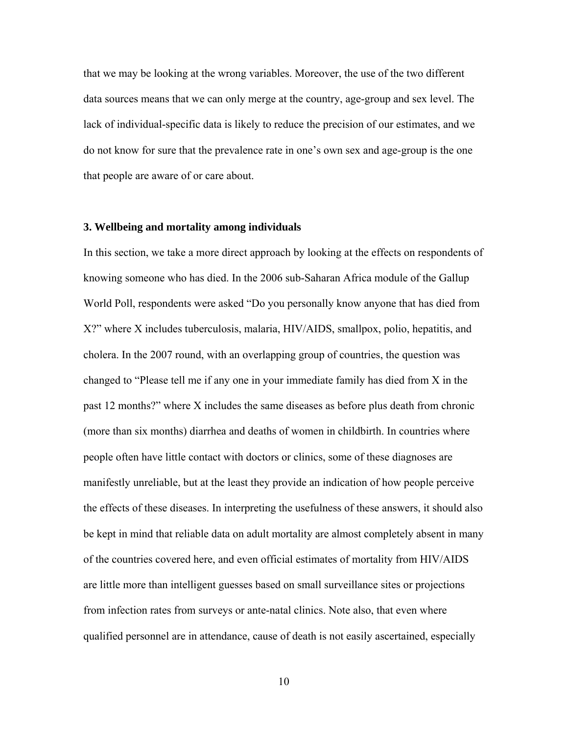that we may be looking at the wrong variables. Moreover, the use of the two different data sources means that we can only merge at the country, age-group and sex level. The lack of individual-specific data is likely to reduce the precision of our estimates, and we do not know for sure that the prevalence rate in one's own sex and age-group is the one that people are aware of or care about.

#### **3. Wellbeing and mortality among individuals**

In this section, we take a more direct approach by looking at the effects on respondents of knowing someone who has died. In the 2006 sub-Saharan Africa module of the Gallup World Poll, respondents were asked "Do you personally know anyone that has died from X?" where X includes tuberculosis, malaria, HIV/AIDS, smallpox, polio, hepatitis, and cholera. In the 2007 round, with an overlapping group of countries, the question was changed to "Please tell me if any one in your immediate family has died from X in the past 12 months?" where X includes the same diseases as before plus death from chronic (more than six months) diarrhea and deaths of women in childbirth. In countries where people often have little contact with doctors or clinics, some of these diagnoses are manifestly unreliable, but at the least they provide an indication of how people perceive the effects of these diseases. In interpreting the usefulness of these answers, it should also be kept in mind that reliable data on adult mortality are almost completely absent in many of the countries covered here, and even official estimates of mortality from HIV/AIDS are little more than intelligent guesses based on small surveillance sites or projections from infection rates from surveys or ante-natal clinics. Note also, that even where qualified personnel are in attendance, cause of death is not easily ascertained, especially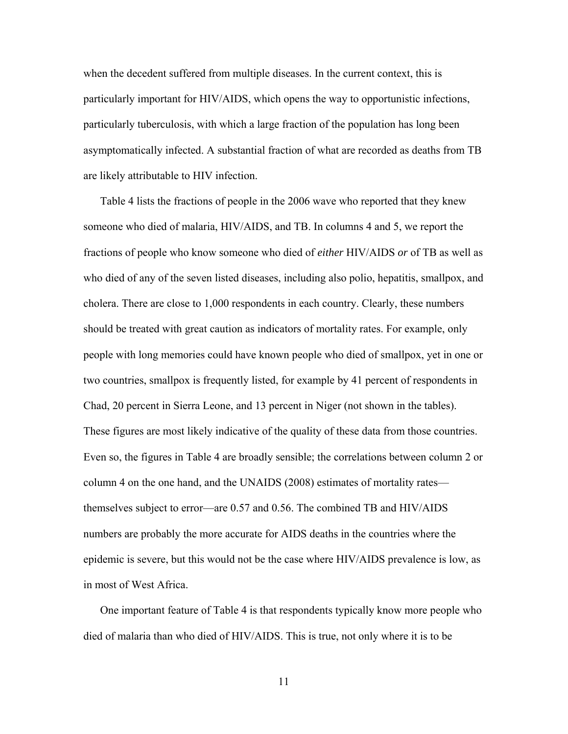when the decedent suffered from multiple diseases. In the current context, this is particularly important for HIV/AIDS, which opens the way to opportunistic infections, particularly tuberculosis, with which a large fraction of the population has long been asymptomatically infected. A substantial fraction of what are recorded as deaths from TB are likely attributable to HIV infection.

 Table 4 lists the fractions of people in the 2006 wave who reported that they knew someone who died of malaria, HIV/AIDS, and TB. In columns 4 and 5, we report the fractions of people who know someone who died of *either* HIV/AIDS *or* of TB as well as who died of any of the seven listed diseases, including also polio, hepatitis, smallpox, and cholera. There are close to 1,000 respondents in each country. Clearly, these numbers should be treated with great caution as indicators of mortality rates. For example, only people with long memories could have known people who died of smallpox, yet in one or two countries, smallpox is frequently listed, for example by 41 percent of respondents in Chad, 20 percent in Sierra Leone, and 13 percent in Niger (not shown in the tables). These figures are most likely indicative of the quality of these data from those countries. Even so, the figures in Table 4 are broadly sensible; the correlations between column 2 or column 4 on the one hand, and the UNAIDS (2008) estimates of mortality rates themselves subject to error—are 0.57 and 0.56. The combined TB and HIV/AIDS numbers are probably the more accurate for AIDS deaths in the countries where the epidemic is severe, but this would not be the case where HIV/AIDS prevalence is low, as in most of West Africa.

 One important feature of Table 4 is that respondents typically know more people who died of malaria than who died of HIV/AIDS. This is true, not only where it is to be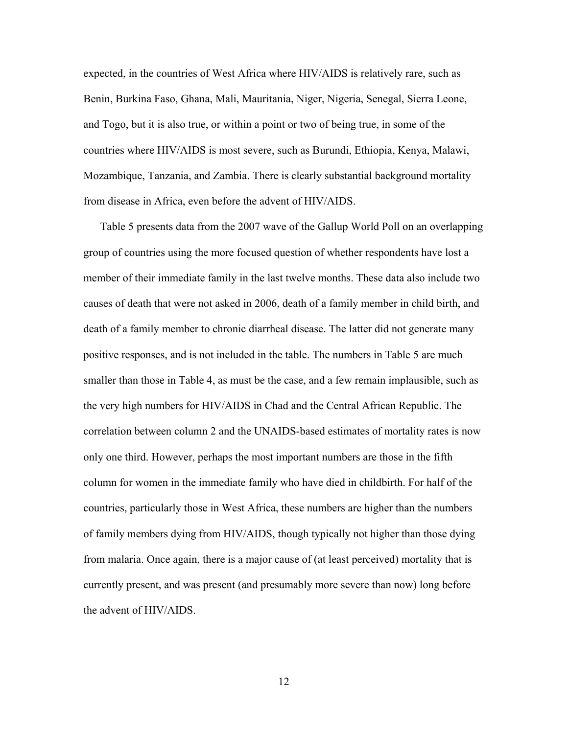expected, in the countries of West Africa where HIV/AIDS is relatively rare, such as Benin, Burkina Faso, Ghana, Mali, Mauritania, Niger, Nigeria, Senegal, Sierra Leone, and Togo, but it is also true, or within a point or two of being true, in some of the countries where HIV/AIDS is most severe, such as Burundi, Ethiopia, Kenya, Malawi, Mozambique, Tanzania, and Zambia. There is clearly substantial background mortality from disease in Africa, even before the advent of HIV/AIDS.

 Table 5 presents data from the 2007 wave of the Gallup World Poll on an overlapping group of countries using the more focused question of whether respondents have lost a member of their immediate family in the last twelve months. These data also include two causes of death that were not asked in 2006, death of a family member in child birth, and death of a family member to chronic diarrheal disease. The latter did not generate many positive responses, and is not included in the table. The numbers in Table 5 are much smaller than those in Table 4, as must be the case, and a few remain implausible, such as the very high numbers for HIV/AIDS in Chad and the Central African Republic. The correlation between column 2 and the UNAIDS-based estimates of mortality rates is now only one third. However, perhaps the most important numbers are those in the fifth column for women in the immediate family who have died in childbirth. For half of the countries, particularly those in West Africa, these numbers are higher than the numbers of family members dying from HIV/AIDS, though typically not higher than those dying from malaria. Once again, there is a major cause of (at least perceived) mortality that is currently present, and was present (and presumably more severe than now) long before the advent of HIV/AIDS.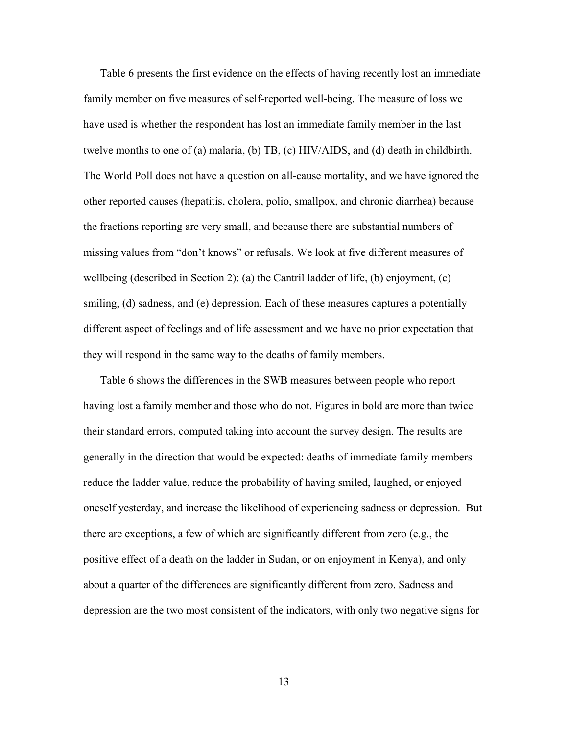Table 6 presents the first evidence on the effects of having recently lost an immediate family member on five measures of self-reported well-being. The measure of loss we have used is whether the respondent has lost an immediate family member in the last twelve months to one of (a) malaria, (b) TB, (c) HIV/AIDS, and (d) death in childbirth. The World Poll does not have a question on all-cause mortality, and we have ignored the other reported causes (hepatitis, cholera, polio, smallpox, and chronic diarrhea) because the fractions reporting are very small, and because there are substantial numbers of missing values from "don't knows" or refusals. We look at five different measures of wellbeing (described in Section 2): (a) the Cantril ladder of life, (b) enjoyment, (c) smiling, (d) sadness, and (e) depression. Each of these measures captures a potentially different aspect of feelings and of life assessment and we have no prior expectation that they will respond in the same way to the deaths of family members.

 Table 6 shows the differences in the SWB measures between people who report having lost a family member and those who do not. Figures in bold are more than twice their standard errors, computed taking into account the survey design. The results are generally in the direction that would be expected: deaths of immediate family members reduce the ladder value, reduce the probability of having smiled, laughed, or enjoyed oneself yesterday, and increase the likelihood of experiencing sadness or depression. But there are exceptions, a few of which are significantly different from zero (e.g., the positive effect of a death on the ladder in Sudan, or on enjoyment in Kenya), and only about a quarter of the differences are significantly different from zero. Sadness and depression are the two most consistent of the indicators, with only two negative signs for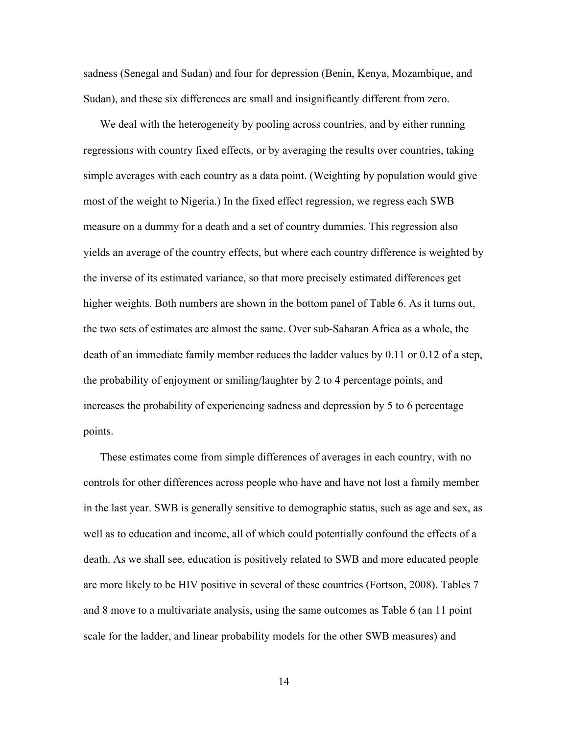sadness (Senegal and Sudan) and four for depression (Benin, Kenya, Mozambique, and Sudan), and these six differences are small and insignificantly different from zero.

We deal with the heterogeneity by pooling across countries, and by either running regressions with country fixed effects, or by averaging the results over countries, taking simple averages with each country as a data point. (Weighting by population would give most of the weight to Nigeria.) In the fixed effect regression, we regress each SWB measure on a dummy for a death and a set of country dummies. This regression also yields an average of the country effects, but where each country difference is weighted by the inverse of its estimated variance, so that more precisely estimated differences get higher weights. Both numbers are shown in the bottom panel of Table 6. As it turns out, the two sets of estimates are almost the same. Over sub-Saharan Africa as a whole, the death of an immediate family member reduces the ladder values by 0.11 or 0.12 of a step, the probability of enjoyment or smiling/laughter by 2 to 4 percentage points, and increases the probability of experiencing sadness and depression by 5 to 6 percentage points.

 These estimates come from simple differences of averages in each country, with no controls for other differences across people who have and have not lost a family member in the last year. SWB is generally sensitive to demographic status, such as age and sex, as well as to education and income, all of which could potentially confound the effects of a death. As we shall see, education is positively related to SWB and more educated people are more likely to be HIV positive in several of these countries (Fortson, 2008). Tables 7 and 8 move to a multivariate analysis, using the same outcomes as Table 6 (an 11 point scale for the ladder, and linear probability models for the other SWB measures) and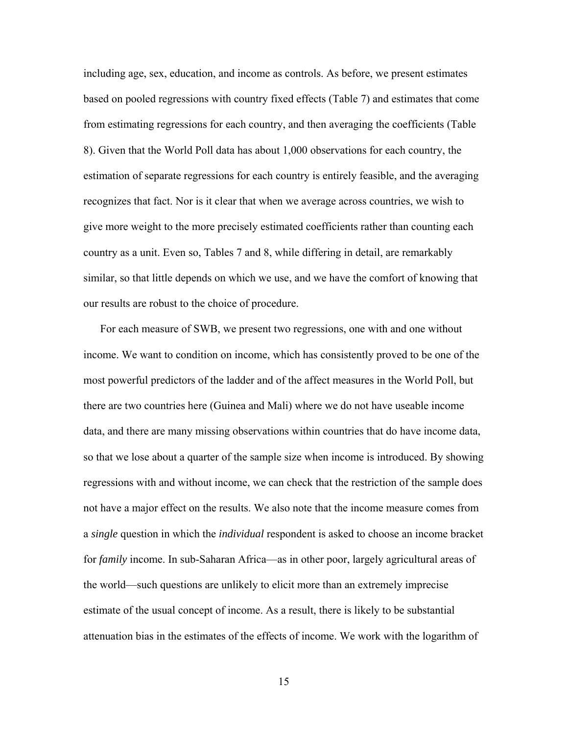including age, sex, education, and income as controls. As before, we present estimates based on pooled regressions with country fixed effects (Table 7) and estimates that come from estimating regressions for each country, and then averaging the coefficients (Table 8). Given that the World Poll data has about 1,000 observations for each country, the estimation of separate regressions for each country is entirely feasible, and the averaging recognizes that fact. Nor is it clear that when we average across countries, we wish to give more weight to the more precisely estimated coefficients rather than counting each country as a unit. Even so, Tables 7 and 8, while differing in detail, are remarkably similar, so that little depends on which we use, and we have the comfort of knowing that our results are robust to the choice of procedure.

 For each measure of SWB, we present two regressions, one with and one without income. We want to condition on income, which has consistently proved to be one of the most powerful predictors of the ladder and of the affect measures in the World Poll, but there are two countries here (Guinea and Mali) where we do not have useable income data, and there are many missing observations within countries that do have income data, so that we lose about a quarter of the sample size when income is introduced. By showing regressions with and without income, we can check that the restriction of the sample does not have a major effect on the results. We also note that the income measure comes from a *single* question in which the *individual* respondent is asked to choose an income bracket for *family* income. In sub-Saharan Africa—as in other poor, largely agricultural areas of the world—such questions are unlikely to elicit more than an extremely imprecise estimate of the usual concept of income. As a result, there is likely to be substantial attenuation bias in the estimates of the effects of income. We work with the logarithm of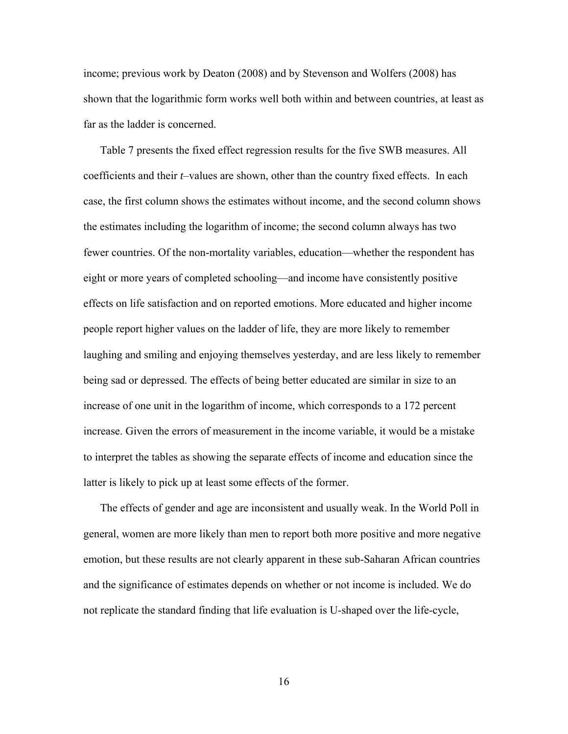income; previous work by Deaton (2008) and by Stevenson and Wolfers (2008) has shown that the logarithmic form works well both within and between countries, at least as far as the ladder is concerned.

 Table 7 presents the fixed effect regression results for the five SWB measures. All coefficients and their *t*–values are shown, other than the country fixed effects. In each case, the first column shows the estimates without income, and the second column shows the estimates including the logarithm of income; the second column always has two fewer countries. Of the non-mortality variables, education—whether the respondent has eight or more years of completed schooling—and income have consistently positive effects on life satisfaction and on reported emotions. More educated and higher income people report higher values on the ladder of life, they are more likely to remember laughing and smiling and enjoying themselves yesterday, and are less likely to remember being sad or depressed. The effects of being better educated are similar in size to an increase of one unit in the logarithm of income, which corresponds to a 172 percent increase. Given the errors of measurement in the income variable, it would be a mistake to interpret the tables as showing the separate effects of income and education since the latter is likely to pick up at least some effects of the former.

 The effects of gender and age are inconsistent and usually weak. In the World Poll in general, women are more likely than men to report both more positive and more negative emotion, but these results are not clearly apparent in these sub-Saharan African countries and the significance of estimates depends on whether or not income is included. We do not replicate the standard finding that life evaluation is U-shaped over the life-cycle,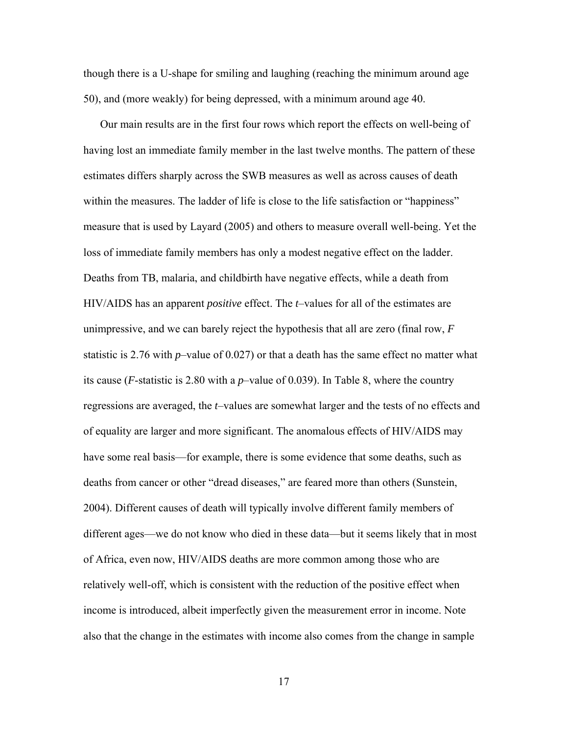though there is a U-shape for smiling and laughing (reaching the minimum around age 50), and (more weakly) for being depressed, with a minimum around age 40.

 Our main results are in the first four rows which report the effects on well-being of having lost an immediate family member in the last twelve months. The pattern of these estimates differs sharply across the SWB measures as well as across causes of death within the measures. The ladder of life is close to the life satisfaction or "happiness" measure that is used by Layard (2005) and others to measure overall well-being. Yet the loss of immediate family members has only a modest negative effect on the ladder. Deaths from TB, malaria, and childbirth have negative effects, while a death from HIV/AIDS has an apparent *positive* effect. The *t*–values for all of the estimates are unimpressive, and we can barely reject the hypothesis that all are zero (final row, *F* statistic is 2.76 with *p*–value of 0.027) or that a death has the same effect no matter what its cause (*F*-statistic is 2.80 with a *p*–value of 0.039). In Table 8, where the country regressions are averaged, the *t*–values are somewhat larger and the tests of no effects and of equality are larger and more significant. The anomalous effects of HIV/AIDS may have some real basis—for example, there is some evidence that some deaths, such as deaths from cancer or other "dread diseases," are feared more than others (Sunstein, 2004). Different causes of death will typically involve different family members of different ages—we do not know who died in these data—but it seems likely that in most of Africa, even now, HIV/AIDS deaths are more common among those who are relatively well-off, which is consistent with the reduction of the positive effect when income is introduced, albeit imperfectly given the measurement error in income. Note also that the change in the estimates with income also comes from the change in sample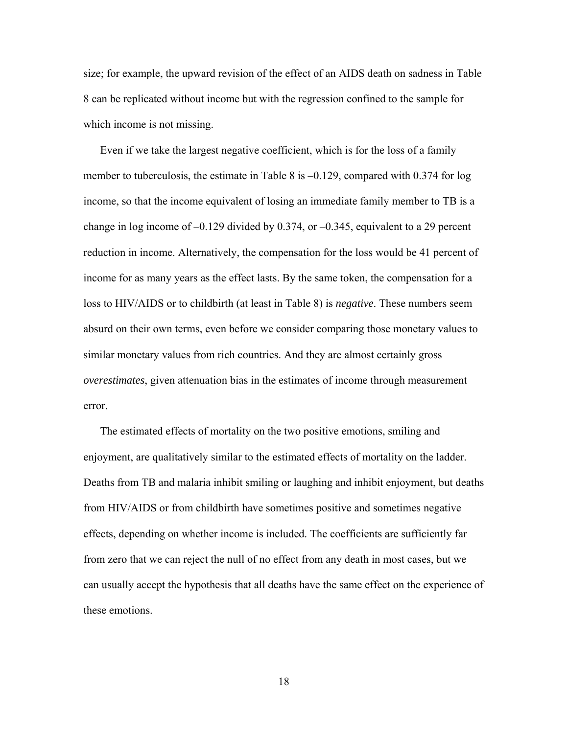size; for example, the upward revision of the effect of an AIDS death on sadness in Table 8 can be replicated without income but with the regression confined to the sample for which income is not missing.

 Even if we take the largest negative coefficient, which is for the loss of a family member to tuberculosis, the estimate in Table 8 is –0.129, compared with 0.374 for log income, so that the income equivalent of losing an immediate family member to TB is a change in log income of  $-0.129$  divided by 0.374, or  $-0.345$ , equivalent to a 29 percent reduction in income. Alternatively, the compensation for the loss would be 41 percent of income for as many years as the effect lasts. By the same token, the compensation for a loss to HIV/AIDS or to childbirth (at least in Table 8) is *negative*. These numbers seem absurd on their own terms, even before we consider comparing those monetary values to similar monetary values from rich countries. And they are almost certainly gross *overestimates*, given attenuation bias in the estimates of income through measurement error.

 The estimated effects of mortality on the two positive emotions, smiling and enjoyment, are qualitatively similar to the estimated effects of mortality on the ladder. Deaths from TB and malaria inhibit smiling or laughing and inhibit enjoyment, but deaths from HIV/AIDS or from childbirth have sometimes positive and sometimes negative effects, depending on whether income is included. The coefficients are sufficiently far from zero that we can reject the null of no effect from any death in most cases, but we can usually accept the hypothesis that all deaths have the same effect on the experience of these emotions.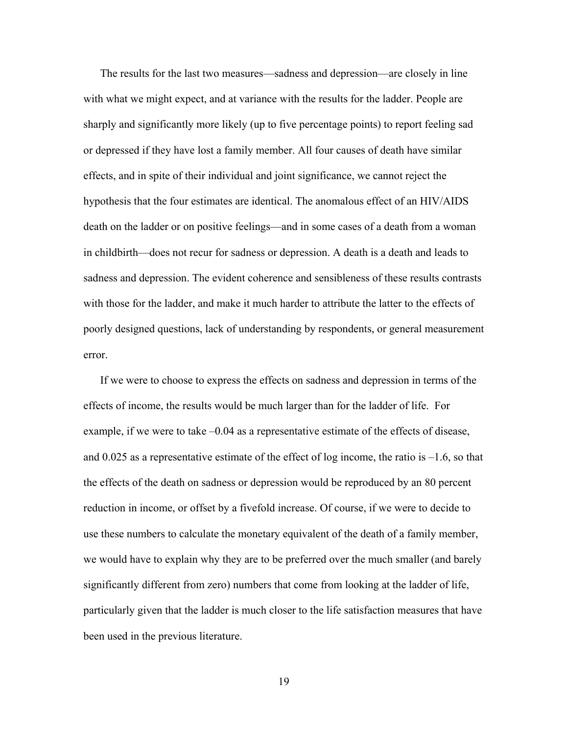The results for the last two measures—sadness and depression—are closely in line with what we might expect, and at variance with the results for the ladder. People are sharply and significantly more likely (up to five percentage points) to report feeling sad or depressed if they have lost a family member. All four causes of death have similar effects, and in spite of their individual and joint significance, we cannot reject the hypothesis that the four estimates are identical. The anomalous effect of an HIV/AIDS death on the ladder or on positive feelings—and in some cases of a death from a woman in childbirth—does not recur for sadness or depression. A death is a death and leads to sadness and depression. The evident coherence and sensibleness of these results contrasts with those for the ladder, and make it much harder to attribute the latter to the effects of poorly designed questions, lack of understanding by respondents, or general measurement error.

 If we were to choose to express the effects on sadness and depression in terms of the effects of income, the results would be much larger than for the ladder of life. For example, if we were to take –0.04 as a representative estimate of the effects of disease, and  $0.025$  as a representative estimate of the effect of log income, the ratio is  $-1.6$ , so that the effects of the death on sadness or depression would be reproduced by an 80 percent reduction in income, or offset by a fivefold increase. Of course, if we were to decide to use these numbers to calculate the monetary equivalent of the death of a family member, we would have to explain why they are to be preferred over the much smaller (and barely significantly different from zero) numbers that come from looking at the ladder of life, particularly given that the ladder is much closer to the life satisfaction measures that have been used in the previous literature.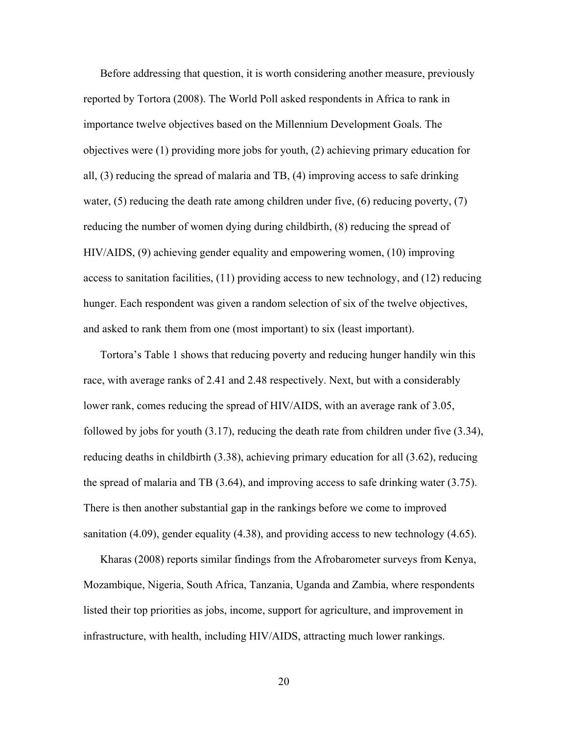Before addressing that question, it is worth considering another measure, previously reported by Tortora (2008). The World Poll asked respondents in Africa to rank in importance twelve objectives based on the Millennium Development Goals. The objectives were (1) providing more jobs for youth, (2) achieving primary education for all, (3) reducing the spread of malaria and TB, (4) improving access to safe drinking water,  $(5)$  reducing the death rate among children under five,  $(6)$  reducing poverty,  $(7)$ reducing the number of women dying during childbirth, (8) reducing the spread of HIV/AIDS, (9) achieving gender equality and empowering women, (10) improving access to sanitation facilities, (11) providing access to new technology, and (12) reducing hunger. Each respondent was given a random selection of six of the twelve objectives, and asked to rank them from one (most important) to six (least important).

 Tortora's Table 1 shows that reducing poverty and reducing hunger handily win this race, with average ranks of 2.41 and 2.48 respectively. Next, but with a considerably lower rank, comes reducing the spread of HIV/AIDS, with an average rank of 3.05, followed by jobs for youth (3.17), reducing the death rate from children under five (3.34), reducing deaths in childbirth (3.38), achieving primary education for all (3.62), reducing the spread of malaria and TB (3.64), and improving access to safe drinking water (3.75). There is then another substantial gap in the rankings before we come to improved sanitation (4.09), gender equality (4.38), and providing access to new technology (4.65).

 Kharas (2008) reports similar findings from the Afrobarometer surveys from Kenya, Mozambique, Nigeria, South Africa, Tanzania, Uganda and Zambia, where respondents listed their top priorities as jobs, income, support for agriculture, and improvement in infrastructure, with health, including HIV/AIDS, attracting much lower rankings.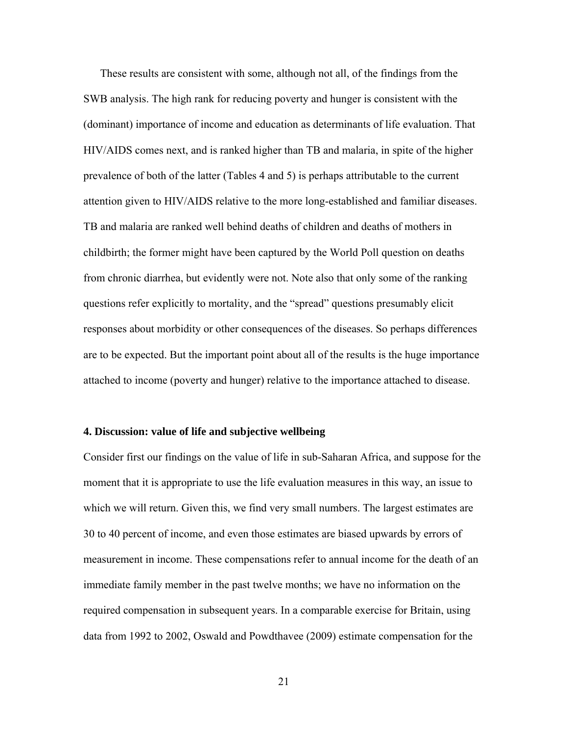These results are consistent with some, although not all, of the findings from the SWB analysis. The high rank for reducing poverty and hunger is consistent with the (dominant) importance of income and education as determinants of life evaluation. That HIV/AIDS comes next, and is ranked higher than TB and malaria, in spite of the higher prevalence of both of the latter (Tables 4 and 5) is perhaps attributable to the current attention given to HIV/AIDS relative to the more long-established and familiar diseases. TB and malaria are ranked well behind deaths of children and deaths of mothers in childbirth; the former might have been captured by the World Poll question on deaths from chronic diarrhea, but evidently were not. Note also that only some of the ranking questions refer explicitly to mortality, and the "spread" questions presumably elicit responses about morbidity or other consequences of the diseases. So perhaps differences are to be expected. But the important point about all of the results is the huge importance attached to income (poverty and hunger) relative to the importance attached to disease.

#### **4. Discussion: value of life and subjective wellbeing**

Consider first our findings on the value of life in sub-Saharan Africa, and suppose for the moment that it is appropriate to use the life evaluation measures in this way, an issue to which we will return. Given this, we find very small numbers. The largest estimates are 30 to 40 percent of income, and even those estimates are biased upwards by errors of measurement in income. These compensations refer to annual income for the death of an immediate family member in the past twelve months; we have no information on the required compensation in subsequent years. In a comparable exercise for Britain, using data from 1992 to 2002, Oswald and Powdthavee (2009) estimate compensation for the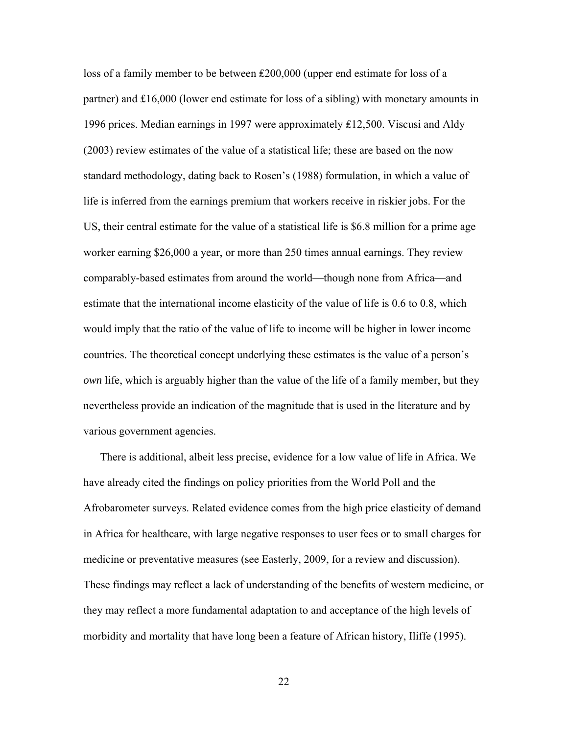loss of a family member to be between ₤200,000 (upper end estimate for loss of a partner) and ₤16,000 (lower end estimate for loss of a sibling) with monetary amounts in 1996 prices. Median earnings in 1997 were approximately ₤12,500. Viscusi and Aldy (2003) review estimates of the value of a statistical life; these are based on the now standard methodology, dating back to Rosen's (1988) formulation, in which a value of life is inferred from the earnings premium that workers receive in riskier jobs. For the US, their central estimate for the value of a statistical life is \$6.8 million for a prime age worker earning \$26,000 a year, or more than 250 times annual earnings. They review comparably-based estimates from around the world—though none from Africa—and estimate that the international income elasticity of the value of life is 0.6 to 0.8, which would imply that the ratio of the value of life to income will be higher in lower income countries. The theoretical concept underlying these estimates is the value of a person's *own* life, which is arguably higher than the value of the life of a family member, but they nevertheless provide an indication of the magnitude that is used in the literature and by various government agencies.

 There is additional, albeit less precise, evidence for a low value of life in Africa. We have already cited the findings on policy priorities from the World Poll and the Afrobarometer surveys. Related evidence comes from the high price elasticity of demand in Africa for healthcare, with large negative responses to user fees or to small charges for medicine or preventative measures (see Easterly, 2009, for a review and discussion). These findings may reflect a lack of understanding of the benefits of western medicine, or they may reflect a more fundamental adaptation to and acceptance of the high levels of morbidity and mortality that have long been a feature of African history, Iliffe (1995).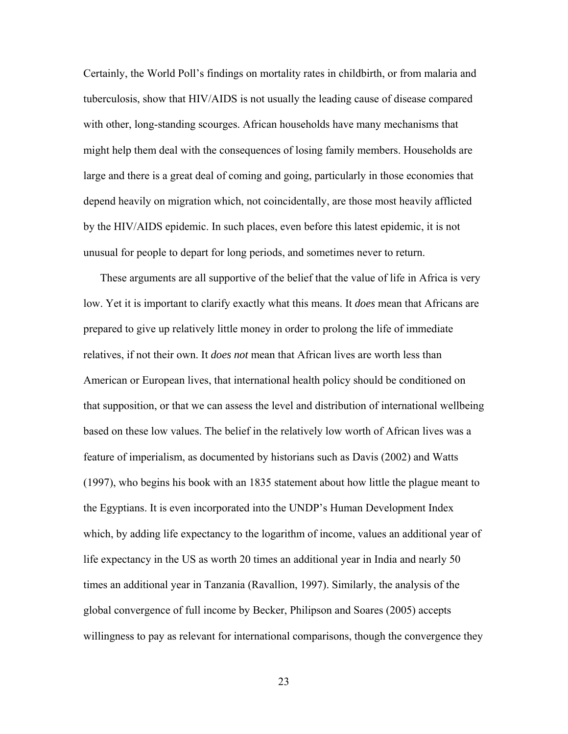Certainly, the World Poll's findings on mortality rates in childbirth, or from malaria and tuberculosis, show that HIV/AIDS is not usually the leading cause of disease compared with other, long-standing scourges. African households have many mechanisms that might help them deal with the consequences of losing family members. Households are large and there is a great deal of coming and going, particularly in those economies that depend heavily on migration which, not coincidentally, are those most heavily afflicted by the HIV/AIDS epidemic. In such places, even before this latest epidemic, it is not unusual for people to depart for long periods, and sometimes never to return.

 These arguments are all supportive of the belief that the value of life in Africa is very low. Yet it is important to clarify exactly what this means. It *does* mean that Africans are prepared to give up relatively little money in order to prolong the life of immediate relatives, if not their own. It *does not* mean that African lives are worth less than American or European lives, that international health policy should be conditioned on that supposition, or that we can assess the level and distribution of international wellbeing based on these low values. The belief in the relatively low worth of African lives was a feature of imperialism, as documented by historians such as Davis (2002) and Watts (1997), who begins his book with an 1835 statement about how little the plague meant to the Egyptians. It is even incorporated into the UNDP's Human Development Index which, by adding life expectancy to the logarithm of income, values an additional year of life expectancy in the US as worth 20 times an additional year in India and nearly 50 times an additional year in Tanzania (Ravallion, 1997). Similarly, the analysis of the global convergence of full income by Becker, Philipson and Soares (2005) accepts willingness to pay as relevant for international comparisons, though the convergence they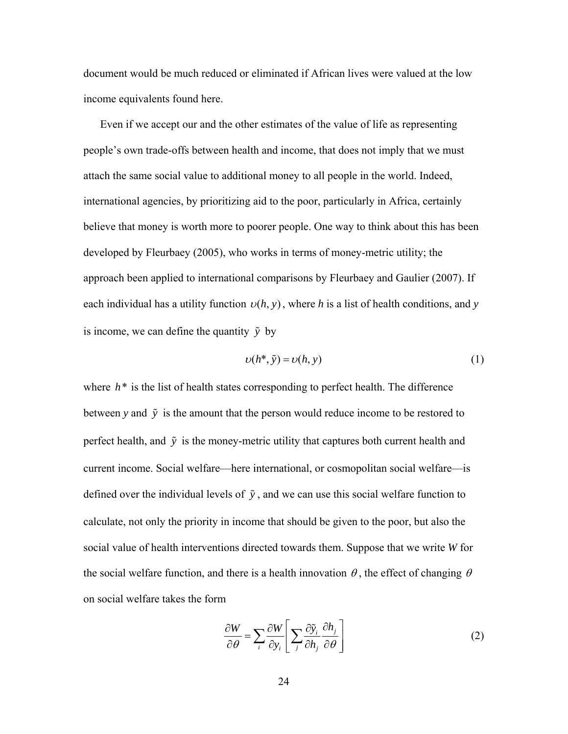document would be much reduced or eliminated if African lives were valued at the low income equivalents found here.

 Even if we accept our and the other estimates of the value of life as representing people's own trade-offs between health and income, that does not imply that we must attach the same social value to additional money to all people in the world. Indeed, international agencies, by prioritizing aid to the poor, particularly in Africa, certainly believe that money is worth more to poorer people. One way to think about this has been developed by Fleurbaey (2005), who works in terms of money-metric utility; the approach been applied to international comparisons by Fleurbaey and Gaulier (2007). If each individual has a utility function  $v(h, y)$ , where *h* is a list of health conditions, and *y* is income, we can define the quantity  $\tilde{y}$  by

$$
\upsilon(h^*, \tilde{\mathbf{y}}) = \upsilon(h, \mathbf{y}) \tag{1}
$$

where  $h^*$  is the list of health states corresponding to perfect health. The difference between *y* and  $\tilde{y}$  is the amount that the person would reduce income to be restored to perfect health, and  $\tilde{y}$  is the money-metric utility that captures both current health and current income. Social welfare—here international, or cosmopolitan social welfare—is defined over the individual levels of  $\tilde{y}$ , and we can use this social welfare function to calculate, not only the priority in income that should be given to the poor, but also the social value of health interventions directed towards them. Suppose that we write *W* for the social welfare function, and there is a health innovation  $\theta$ , the effect of changing  $\theta$ on social welfare takes the form

$$
\frac{\partial W}{\partial \theta} = \sum_{i} \frac{\partial W}{\partial y_i} \left[ \sum_{j} \frac{\partial \tilde{y}_i}{\partial h_j} \frac{\partial h_j}{\partial \theta} \right]
$$
(2)

24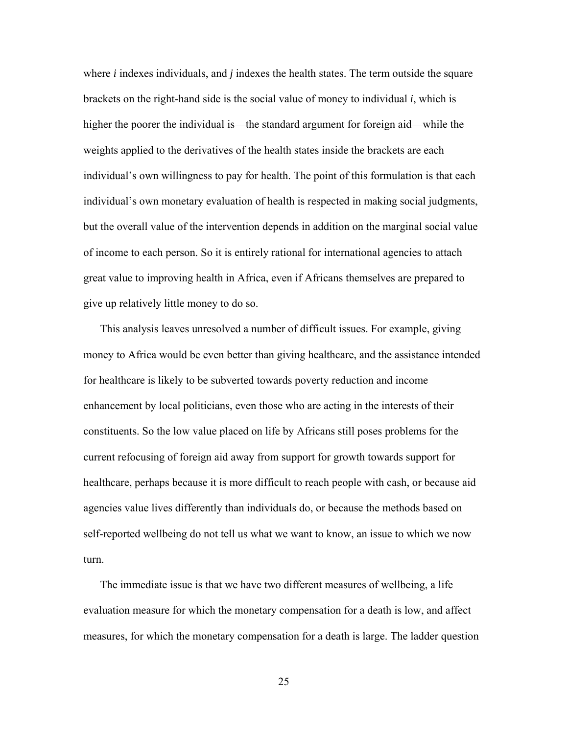where *i* indexes individuals, and *j* indexes the health states. The term outside the square brackets on the right-hand side is the social value of money to individual *i*, which is higher the poorer the individual is—the standard argument for foreign aid—while the weights applied to the derivatives of the health states inside the brackets are each individual's own willingness to pay for health. The point of this formulation is that each individual's own monetary evaluation of health is respected in making social judgments, but the overall value of the intervention depends in addition on the marginal social value of income to each person. So it is entirely rational for international agencies to attach great value to improving health in Africa, even if Africans themselves are prepared to give up relatively little money to do so.

 This analysis leaves unresolved a number of difficult issues. For example, giving money to Africa would be even better than giving healthcare, and the assistance intended for healthcare is likely to be subverted towards poverty reduction and income enhancement by local politicians, even those who are acting in the interests of their constituents. So the low value placed on life by Africans still poses problems for the current refocusing of foreign aid away from support for growth towards support for healthcare, perhaps because it is more difficult to reach people with cash, or because aid agencies value lives differently than individuals do, or because the methods based on self-reported wellbeing do not tell us what we want to know, an issue to which we now turn.

 The immediate issue is that we have two different measures of wellbeing, a life evaluation measure for which the monetary compensation for a death is low, and affect measures, for which the monetary compensation for a death is large. The ladder question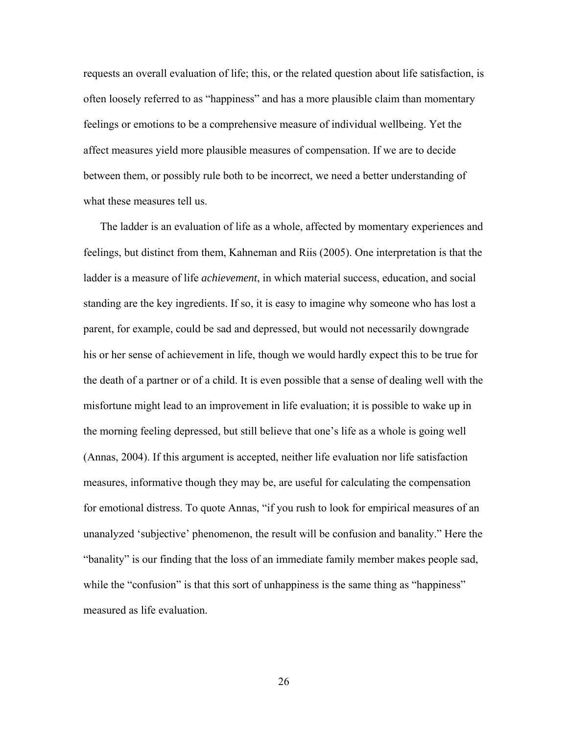requests an overall evaluation of life; this, or the related question about life satisfaction, is often loosely referred to as "happiness" and has a more plausible claim than momentary feelings or emotions to be a comprehensive measure of individual wellbeing. Yet the affect measures yield more plausible measures of compensation. If we are to decide between them, or possibly rule both to be incorrect, we need a better understanding of what these measures tell us.

 The ladder is an evaluation of life as a whole, affected by momentary experiences and feelings, but distinct from them, Kahneman and Riis (2005). One interpretation is that the ladder is a measure of life *achievement*, in which material success, education, and social standing are the key ingredients. If so, it is easy to imagine why someone who has lost a parent, for example, could be sad and depressed, but would not necessarily downgrade his or her sense of achievement in life, though we would hardly expect this to be true for the death of a partner or of a child. It is even possible that a sense of dealing well with the misfortune might lead to an improvement in life evaluation; it is possible to wake up in the morning feeling depressed, but still believe that one's life as a whole is going well (Annas, 2004). If this argument is accepted, neither life evaluation nor life satisfaction measures, informative though they may be, are useful for calculating the compensation for emotional distress. To quote Annas, "if you rush to look for empirical measures of an unanalyzed 'subjective' phenomenon, the result will be confusion and banality." Here the "banality" is our finding that the loss of an immediate family member makes people sad, while the "confusion" is that this sort of unhappiness is the same thing as "happiness" measured as life evaluation.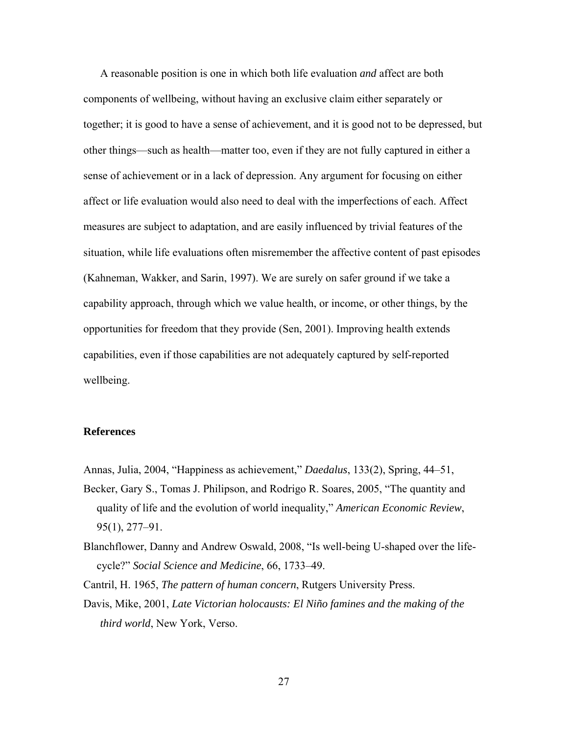A reasonable position is one in which both life evaluation *and* affect are both components of wellbeing, without having an exclusive claim either separately or together; it is good to have a sense of achievement, and it is good not to be depressed, but other things—such as health—matter too, even if they are not fully captured in either a sense of achievement or in a lack of depression. Any argument for focusing on either affect or life evaluation would also need to deal with the imperfections of each. Affect measures are subject to adaptation, and are easily influenced by trivial features of the situation, while life evaluations often misremember the affective content of past episodes (Kahneman, Wakker, and Sarin, 1997). We are surely on safer ground if we take a capability approach, through which we value health, or income, or other things, by the opportunities for freedom that they provide (Sen, 2001). Improving health extends capabilities, even if those capabilities are not adequately captured by self-reported wellbeing.

#### **References**

Annas, Julia, 2004, "Happiness as achievement," *Daedalus*, 133(2), Spring, 44–51,

Becker, Gary S., Tomas J. Philipson, and Rodrigo R. Soares, 2005, "The quantity and quality of life and the evolution of world inequality," *American Economic Review*, 95(1), 277–91.

Blanchflower, Danny and Andrew Oswald, 2008, "Is well-being U-shaped over the lifecycle?" *Social Science and Medicine*, 66, 1733–49.

Cantril, H. 1965, *The pattern of human concern*, Rutgers University Press.

Davis, Mike, 2001, *Late Victorian holocausts: El Niño famines and the making of the third world*, New York, Verso.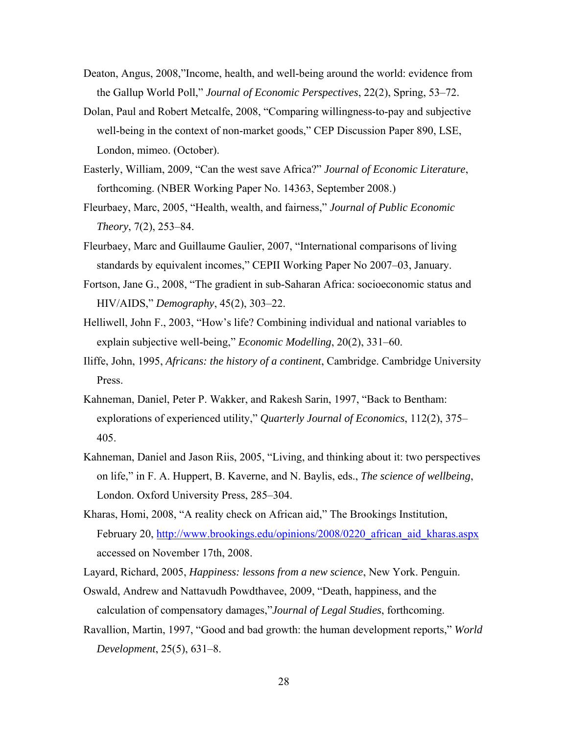- Deaton, Angus, 2008,"Income, health, and well-being around the world: evidence from the Gallup World Poll," *Journal of Economic Perspectives*, 22(2), Spring, 53–72.
- Dolan, Paul and Robert Metcalfe, 2008, "Comparing willingness-to-pay and subjective well-being in the context of non-market goods," CEP Discussion Paper 890, LSE, London, mimeo. (October).
- Easterly, William, 2009, "Can the west save Africa?" *Journal of Economic Literature*, forthcoming. (NBER Working Paper No. 14363, September 2008.)
- Fleurbaey, Marc, 2005, "Health, wealth, and fairness," *Journal of Public Economic Theory*, 7(2), 253–84.
- Fleurbaey, Marc and Guillaume Gaulier, 2007, "International comparisons of living standards by equivalent incomes," CEPII Working Paper No 2007–03, January.
- Fortson, Jane G., 2008, "The gradient in sub-Saharan Africa: socioeconomic status and HIV/AIDS," *Demography*, 45(2), 303–22.
- Helliwell, John F., 2003, "How's life? Combining individual and national variables to explain subjective well-being," *Economic Modelling*, 20(2), 331–60.
- Iliffe, John, 1995, *Africans: the history of a continent*, Cambridge. Cambridge University Press.
- Kahneman, Daniel, Peter P. Wakker, and Rakesh Sarin, 1997, "Back to Bentham: explorations of experienced utility," *Quarterly Journal of Economics*, 112(2), 375– 405.
- Kahneman, Daniel and Jason Riis, 2005, "Living, and thinking about it: two perspectives on life," in F. A. Huppert, B. Kaverne, and N. Baylis, eds., *The science of wellbeing*, London. Oxford University Press, 285–304.
- Kharas, Homi, 2008, "A reality check on African aid," The Brookings Institution, February 20, http://www.brookings.edu/opinions/2008/0220 african aid kharas.aspx accessed on November 17th, 2008.
- Layard, Richard, 2005, *Happiness: lessons from a new science*, New York. Penguin.
- Oswald, Andrew and Nattavudh Powdthavee, 2009, "Death, happiness, and the calculation of compensatory damages,"*Journal of Legal Studies*, forthcoming.
- Ravallion, Martin, 1997, "Good and bad growth: the human development reports," *World Development*, 25(5), 631–8.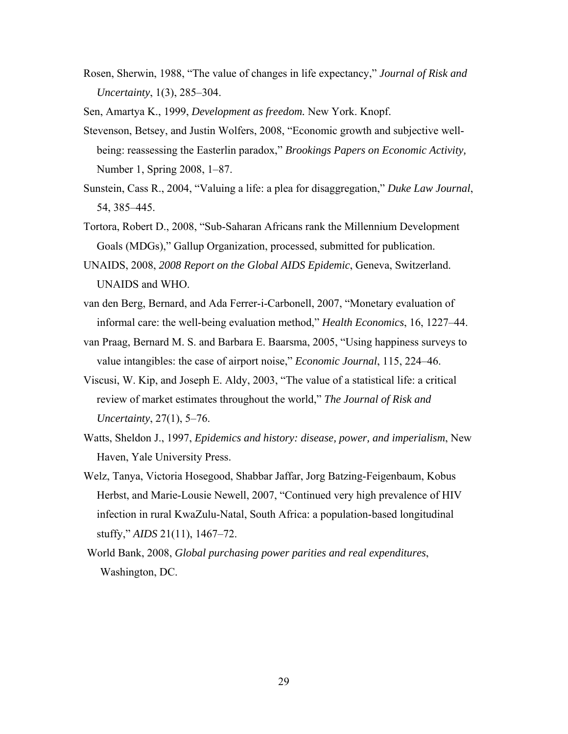Rosen, Sherwin, 1988, "The value of changes in life expectancy," *Journal of Risk and Uncertainty*, 1(3), 285–304.

Sen, Amartya K., 1999, *Development as freedom.* New York. Knopf.

- Stevenson, Betsey, and Justin Wolfers, 2008, "Economic growth and subjective wellbeing: reassessing the Easterlin paradox," *Brookings Papers on Economic Activity,*  Number 1, Spring 2008, 1–87.
- Sunstein, Cass R., 2004, "Valuing a life: a plea for disaggregation," *Duke Law Journal*, 54, 385–445.
- Tortora, Robert D., 2008, "Sub-Saharan Africans rank the Millennium Development Goals (MDGs)," Gallup Organization, processed, submitted for publication.
- UNAIDS, 2008, *2008 Report on the Global AIDS Epidemic*, Geneva, Switzerland. UNAIDS and WHO.
- van den Berg, Bernard, and Ada Ferrer-i-Carbonell, 2007, "Monetary evaluation of informal care: the well-being evaluation method," *Health Economics*, 16, 1227–44.
- van Praag, Bernard M. S. and Barbara E. Baarsma, 2005, "Using happiness surveys to value intangibles: the case of airport noise," *Economic Journal*, 115, 224–46.
- Viscusi, W. Kip, and Joseph E. Aldy, 2003, "The value of a statistical life: a critical review of market estimates throughout the world," *The Journal of Risk and Uncertainty*, 27(1), 5–76.
- Watts, Sheldon J., 1997, *Epidemics and history: disease, power, and imperialism*, New Haven, Yale University Press.
- Welz, Tanya, Victoria Hosegood, Shabbar Jaffar, Jorg Batzing-Feigenbaum, Kobus Herbst, and Marie-Lousie Newell, 2007, "Continued very high prevalence of HIV infection in rural KwaZulu-Natal, South Africa: a population-based longitudinal stuffy," *AIDS* 21(11), 1467–72.
- World Bank, 2008, *Global purchasing power parities and real expenditures*, Washington, DC.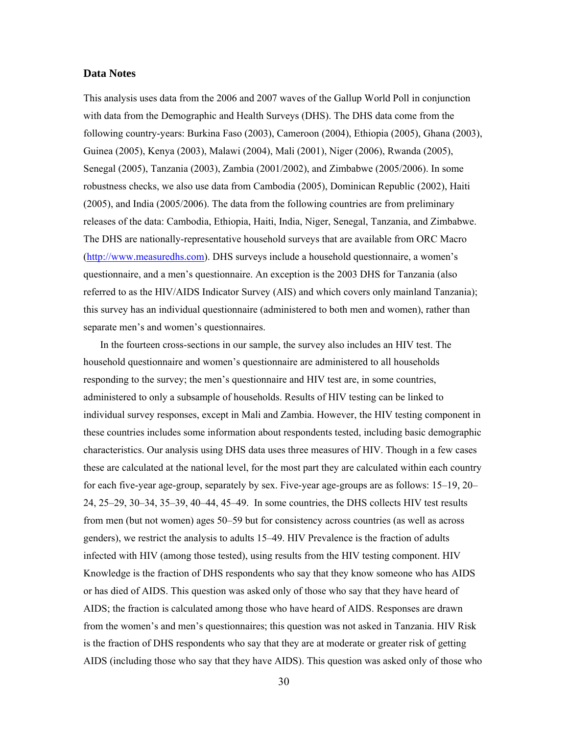#### **Data Notes**

This analysis uses data from the 2006 and 2007 waves of the Gallup World Poll in conjunction with data from the Demographic and Health Surveys (DHS). The DHS data come from the following country-years: Burkina Faso (2003), Cameroon (2004), Ethiopia (2005), Ghana (2003), Guinea (2005), Kenya (2003), Malawi (2004), Mali (2001), Niger (2006), Rwanda (2005), Senegal (2005), Tanzania (2003), Zambia (2001/2002), and Zimbabwe (2005/2006). In some robustness checks, we also use data from Cambodia (2005), Dominican Republic (2002), Haiti (2005), and India (2005/2006). The data from the following countries are from preliminary releases of the data: Cambodia, Ethiopia, Haiti, India, Niger, Senegal, Tanzania, and Zimbabwe. The DHS are nationally-representative household surveys that are available from ORC Macro (http://www.measuredhs.com). DHS surveys include a household questionnaire, a women's questionnaire, and a men's questionnaire. An exception is the 2003 DHS for Tanzania (also referred to as the HIV/AIDS Indicator Survey (AIS) and which covers only mainland Tanzania); this survey has an individual questionnaire (administered to both men and women), rather than separate men's and women's questionnaires.

 In the fourteen cross-sections in our sample, the survey also includes an HIV test. The household questionnaire and women's questionnaire are administered to all households responding to the survey; the men's questionnaire and HIV test are, in some countries, administered to only a subsample of households. Results of HIV testing can be linked to individual survey responses, except in Mali and Zambia. However, the HIV testing component in these countries includes some information about respondents tested, including basic demographic characteristics. Our analysis using DHS data uses three measures of HIV. Though in a few cases these are calculated at the national level, for the most part they are calculated within each country for each five-year age-group, separately by sex. Five-year age-groups are as follows: 15–19, 20– 24, 25–29, 30–34, 35–39, 40–44, 45–49. In some countries, the DHS collects HIV test results from men (but not women) ages 50–59 but for consistency across countries (as well as across genders), we restrict the analysis to adults 15–49. HIV Prevalence is the fraction of adults infected with HIV (among those tested), using results from the HIV testing component. HIV Knowledge is the fraction of DHS respondents who say that they know someone who has AIDS or has died of AIDS. This question was asked only of those who say that they have heard of AIDS; the fraction is calculated among those who have heard of AIDS. Responses are drawn from the women's and men's questionnaires; this question was not asked in Tanzania. HIV Risk is the fraction of DHS respondents who say that they are at moderate or greater risk of getting AIDS (including those who say that they have AIDS). This question was asked only of those who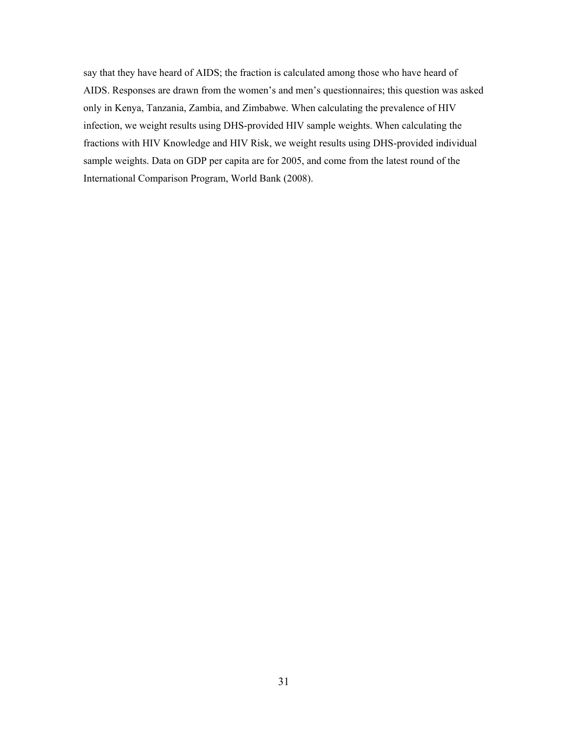say that they have heard of AIDS; the fraction is calculated among those who have heard of AIDS. Responses are drawn from the women's and men's questionnaires; this question was asked only in Kenya, Tanzania, Zambia, and Zimbabwe. When calculating the prevalence of HIV infection, we weight results using DHS-provided HIV sample weights. When calculating the fractions with HIV Knowledge and HIV Risk, we weight results using DHS-provided individual sample weights. Data on GDP per capita are for 2005, and come from the latest round of the International Comparison Program, World Bank (2008).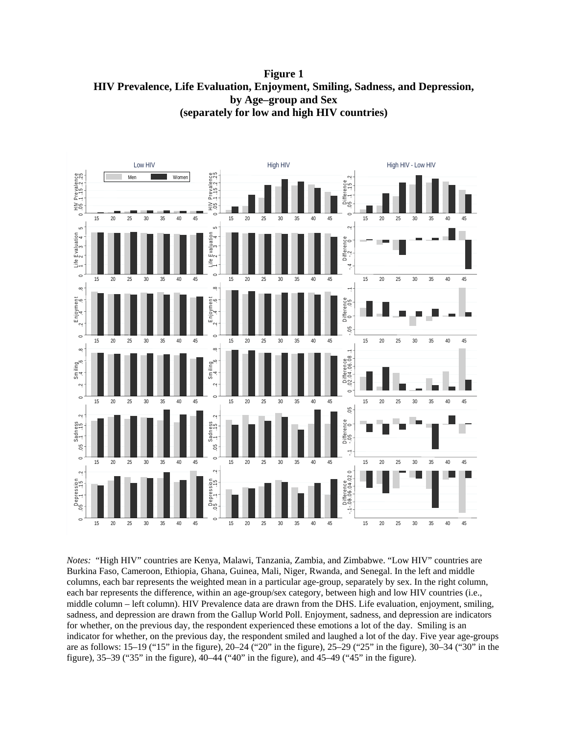**Figure 1 HIV Prevalence, Life Evaluation, Enjoyment, Smiling, Sadness, and Depression, by Age–group and Sex (separately for low and high HIV countries)** 



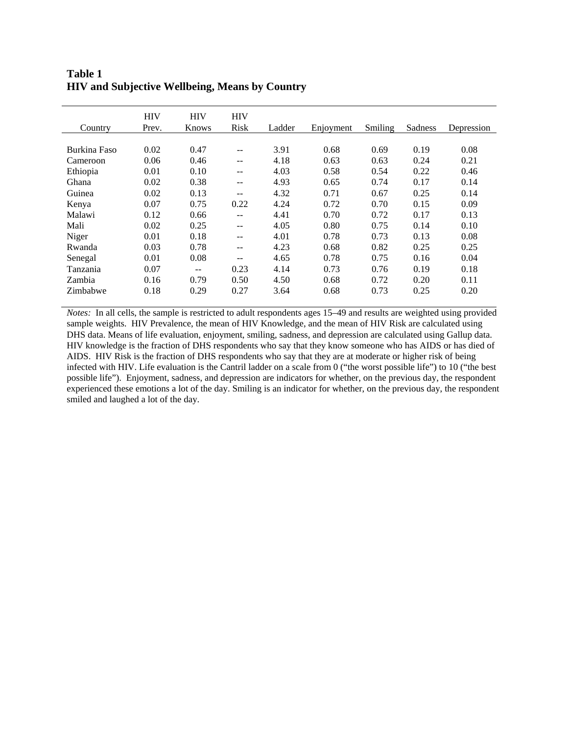## **Table 1 HIV and Subjective Wellbeing, Means by Country**

| Country      | <b>HIV</b><br>Prev. | <b>HIV</b><br>Knows | <b>HIV</b><br><b>Risk</b> | Ladder | Enjoyment | Smiling | Sadness | Depression |
|--------------|---------------------|---------------------|---------------------------|--------|-----------|---------|---------|------------|
|              |                     |                     |                           |        |           |         |         |            |
| Burkina Faso | 0.02                | 0.47                | --                        | 3.91   | 0.68      | 0.69    | 0.19    | 0.08       |
| Cameroon     | 0.06                | 0.46                | --                        | 4.18   | 0.63      | 0.63    | 0.24    | 0.21       |
| Ethiopia     | 0.01                | 0.10                | --                        | 4.03   | 0.58      | 0.54    | 0.22    | 0.46       |
| Ghana        | 0.02                | 0.38                | --                        | 4.93   | 0.65      | 0.74    | 0.17    | 0.14       |
| Guinea       | 0.02                | 0.13                | $- -$                     | 4.32   | 0.71      | 0.67    | 0.25    | 0.14       |
| Kenya        | 0.07                | 0.75                | 0.22                      | 4.24   | 0.72      | 0.70    | 0.15    | 0.09       |
| Malawi       | 0.12                | 0.66                | $-$                       | 4.41   | 0.70      | 0.72    | 0.17    | 0.13       |
| Mali         | 0.02                | 0.25                | $- -$                     | 4.05   | 0.80      | 0.75    | 0.14    | 0.10       |
| Niger        | 0.01                | 0.18                | $- -$                     | 4.01   | 0.78      | 0.73    | 0.13    | 0.08       |
| Rwanda       | 0.03                | 0.78                | $- -$                     | 4.23   | 0.68      | 0.82    | 0.25    | 0.25       |
| Senegal      | 0.01                | 0.08                | $- -$                     | 4.65   | 0.78      | 0.75    | 0.16    | 0.04       |
| Tanzania     | 0.07                | $- -$               | 0.23                      | 4.14   | 0.73      | 0.76    | 0.19    | 0.18       |
| Zambia       | 0.16                | 0.79                | 0.50                      | 4.50   | 0.68      | 0.72    | 0.20    | 0.11       |
| Zimbabwe     | 0.18                | 0.29                | 0.27                      | 3.64   | 0.68      | 0.73    | 0.25    | 0.20       |

*Notes:* In all cells, the sample is restricted to adult respondents ages 15–49 and results are weighted using provided sample weights. HIV Prevalence, the mean of HIV Knowledge, and the mean of HIV Risk are calculated using DHS data. Means of life evaluation, enjoyment, smiling, sadness, and depression are calculated using Gallup data. HIV knowledge is the fraction of DHS respondents who say that they know someone who has AIDS or has died of AIDS. HIV Risk is the fraction of DHS respondents who say that they are at moderate or higher risk of being infected with HIV. Life evaluation is the Cantril ladder on a scale from 0 ("the worst possible life") to 10 ("the best possible life"). Enjoyment, sadness, and depression are indicators for whether, on the previous day, the respondent experienced these emotions a lot of the day. Smiling is an indicator for whether, on the previous day, the respondent smiled and laughed a lot of the day.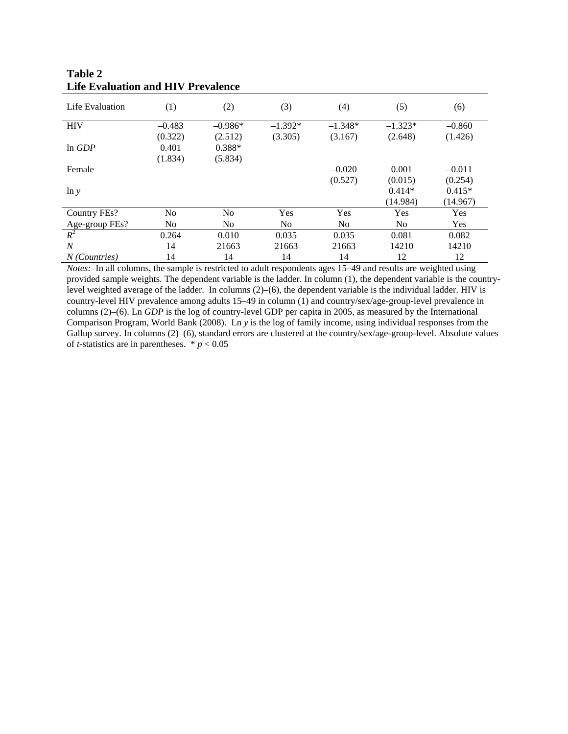| Life Evaluation | (1)      | (2)            | (3)            | (4)            | (5)       | (6)      |
|-----------------|----------|----------------|----------------|----------------|-----------|----------|
| <b>HIV</b>      | $-0.483$ | $-0.986*$      | $-1.392*$      | $-1.348*$      | $-1.323*$ | $-0.860$ |
|                 | (0.322)  | (2.512)        | (3.305)        | (3.167)        | (2.648)   | (1.426)  |
| ln GDP          | 0.401    | $0.388*$       |                |                |           |          |
|                 | (1.834)  | (5.834)        |                |                |           |          |
| Female          |          |                |                | $-0.020$       | 0.001     | $-0.011$ |
|                 |          |                |                | (0.527)        | (0.015)   | (0.254)  |
| $\ln y$         |          |                |                |                | $0.414*$  | $0.415*$ |
|                 |          |                |                |                | (14.984)  | (14.967) |
| Country FEs?    | No.      | N <sub>o</sub> | Yes            | Yes            | Yes       | Yes      |
| Age-group FEs?  | No.      | No             | N <sub>0</sub> | N <sub>o</sub> | No.       | Yes      |
| $R^2$           | 0.264    | 0.010          | 0.035          | 0.035          | 0.081     | 0.082    |
| N               | 14       | 21663          | 21663          | 21663          | 14210     | 14210    |
| N (Countries)   | 14       | 14             | 14             | 14             | 12        | 12       |

## **Table 2 Life Evaluation and HIV Prevalence**

*Notes:* In all columns, the sample is restricted to adult respondents ages 15–49 and results are weighted using provided sample weights. The dependent variable is the ladder. In column (1), the dependent variable is the countrylevel weighted average of the ladder. In columns (2)–(6), the dependent variable is the individual ladder. HIV is country-level HIV prevalence among adults 15–49 in column (1) and country/sex/age-group-level prevalence in columns (2)–(6). Ln *GDP* is the log of country-level GDP per capita in 2005, as measured by the International Comparison Program, World Bank (2008). Ln *y* is the log of family income, using individual responses from the Gallup survey. In columns (2)–(6), standard errors are clustered at the country/sex/age-group-level. Absolute values of *t*-statistics are in parentheses.  $* p < 0.05$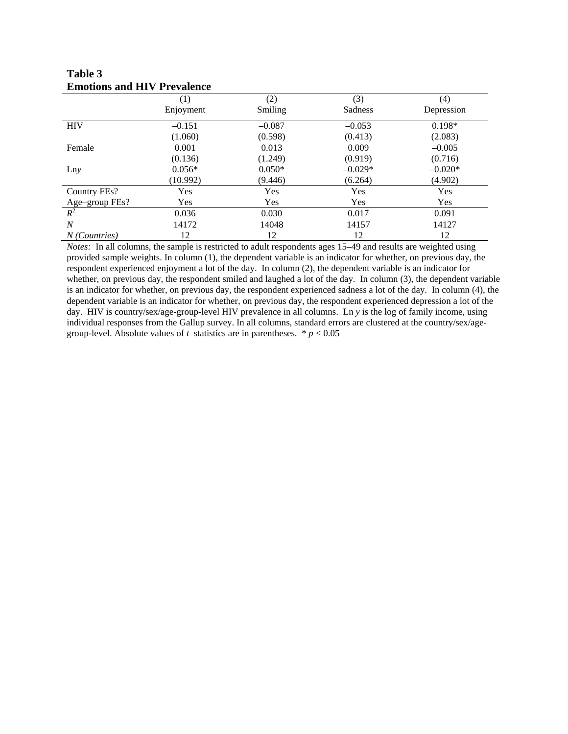|                 | Emonons and TH v TTC valence |          |            |            |  |  |  |  |  |
|-----------------|------------------------------|----------|------------|------------|--|--|--|--|--|
|                 | (1)                          | (2)      | (3)        | (4)        |  |  |  |  |  |
|                 | Enjoyment                    | Smiling  | Sadness    | Depression |  |  |  |  |  |
| <b>HIV</b>      | $-0.151$                     | $-0.087$ | $-0.053$   | $0.198*$   |  |  |  |  |  |
|                 | (1.060)                      | (0.598)  | (0.413)    | (2.083)    |  |  |  |  |  |
| Female          | 0.001                        | 0.013    | 0.009      | $-0.005$   |  |  |  |  |  |
|                 | (0.136)                      | (1.249)  | (0.919)    | (0.716)    |  |  |  |  |  |
| Lny             | $0.056*$                     | $0.050*$ | $-0.029*$  | $-0.020*$  |  |  |  |  |  |
|                 | (10.992)                     | (9.446)  | (6.264)    | (4.902)    |  |  |  |  |  |
| Country FEs?    | Yes                          | Yes      | Yes        | Yes        |  |  |  |  |  |
| Age-group FEs?  | <b>Yes</b>                   | Yes      | <b>Yes</b> | Yes        |  |  |  |  |  |
| $R^2$           | 0.036                        | 0.030    | 0.017      | 0.091      |  |  |  |  |  |
| N               | 14172                        | 14048    | 14157      | 14127      |  |  |  |  |  |
| $N$ (Countries) | 12                           | 12       | 12         | 12         |  |  |  |  |  |

**Table 3 Emotions and HIV Prevalence** 

*Notes:* In all columns, the sample is restricted to adult respondents ages 15–49 and results are weighted using provided sample weights. In column (1), the dependent variable is an indicator for whether, on previous day, the respondent experienced enjoyment a lot of the day. In column (2), the dependent variable is an indicator for whether, on previous day, the respondent smiled and laughed a lot of the day. In column (3), the dependent variable is an indicator for whether, on previous day, the respondent experienced sadness a lot of the day. In column (4), the dependent variable is an indicator for whether, on previous day, the respondent experienced depression a lot of the day. HIV is country/sex/age-group-level HIV prevalence in all columns. Ln *y* is the log of family income, using individual responses from the Gallup survey. In all columns, standard errors are clustered at the country/sex/agegroup-level. Absolute values of *t*–statistics are in parentheses.  $* p < 0.05$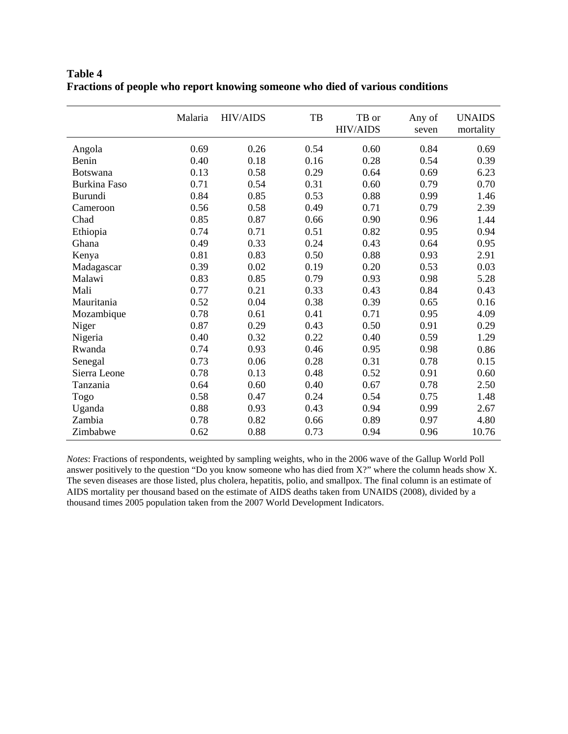|                     | Malaria | <b>HIV/AIDS</b> | TB   | TB or<br><b>HIV/AIDS</b> | Any of<br>seven | <b>UNAIDS</b><br>mortality |
|---------------------|---------|-----------------|------|--------------------------|-----------------|----------------------------|
| Angola              | 0.69    | 0.26            | 0.54 | 0.60                     | 0.84            | 0.69                       |
| Benin               | 0.40    | 0.18            | 0.16 | 0.28                     | 0.54            | 0.39                       |
| <b>Botswana</b>     | 0.13    | 0.58            | 0.29 | 0.64                     | 0.69            | 6.23                       |
| <b>Burkina Faso</b> | 0.71    | 0.54            | 0.31 | 0.60                     | 0.79            | 0.70                       |
| Burundi             | 0.84    | 0.85            | 0.53 | 0.88                     | 0.99            | 1.46                       |
| Cameroon            | 0.56    | 0.58            | 0.49 | 0.71                     | 0.79            | 2.39                       |
| Chad                | 0.85    | 0.87            | 0.66 | 0.90                     | 0.96            | 1.44                       |
| Ethiopia            | 0.74    | 0.71            | 0.51 | 0.82                     | 0.95            | 0.94                       |
| Ghana               | 0.49    | 0.33            | 0.24 | 0.43                     | 0.64            | 0.95                       |
| Kenya               | 0.81    | 0.83            | 0.50 | 0.88                     | 0.93            | 2.91                       |
| Madagascar          | 0.39    | 0.02            | 0.19 | 0.20                     | 0.53            | 0.03                       |
| Malawi              | 0.83    | 0.85            | 0.79 | 0.93                     | 0.98            | 5.28                       |
| Mali                | 0.77    | 0.21            | 0.33 | 0.43                     | 0.84            | 0.43                       |
| Mauritania          | 0.52    | 0.04            | 0.38 | 0.39                     | 0.65            | 0.16                       |
| Mozambique          | 0.78    | 0.61            | 0.41 | 0.71                     | 0.95            | 4.09                       |
| Niger               | 0.87    | 0.29            | 0.43 | 0.50                     | 0.91            | 0.29                       |
| Nigeria             | 0.40    | 0.32            | 0.22 | 0.40                     | 0.59            | 1.29                       |
| Rwanda              | 0.74    | 0.93            | 0.46 | 0.95                     | 0.98            | 0.86                       |
| Senegal             | 0.73    | 0.06            | 0.28 | 0.31                     | 0.78            | 0.15                       |
| Sierra Leone        | 0.78    | 0.13            | 0.48 | 0.52                     | 0.91            | 0.60                       |
| Tanzania            | 0.64    | 0.60            | 0.40 | 0.67                     | 0.78            | 2.50                       |
| Togo                | 0.58    | 0.47            | 0.24 | 0.54                     | 0.75            | 1.48                       |
| Uganda              | 0.88    | 0.93            | 0.43 | 0.94                     | 0.99            | 2.67                       |
| Zambia              | 0.78    | 0.82            | 0.66 | 0.89                     | 0.97            | 4.80                       |
| Zimbabwe            | 0.62    | 0.88            | 0.73 | 0.94                     | 0.96            | 10.76                      |

**Table 4 Fractions of people who report knowing someone who died of various conditions** 

*Notes*: Fractions of respondents, weighted by sampling weights, who in the 2006 wave of the Gallup World Poll answer positively to the question "Do you know someone who has died from X?" where the column heads show X. The seven diseases are those listed, plus cholera, hepatitis, polio, and smallpox. The final column is an estimate of AIDS mortality per thousand based on the estimate of AIDS deaths taken from UNAIDS (2008), divided by a thousand times 2005 population taken from the 2007 World Development Indicators.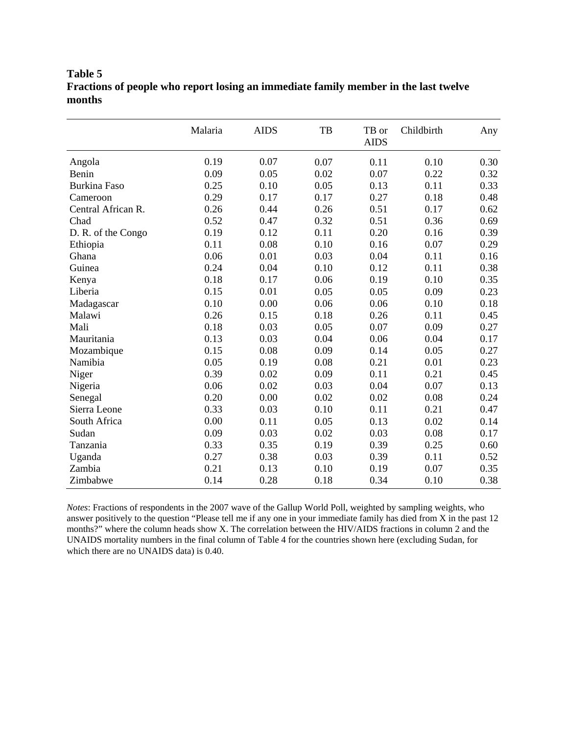# **Table 5 Fractions of people who report losing an immediate family member in the last twelve months**

|                     | Malaria | <b>AIDS</b> | TB   | TB or<br><b>AIDS</b> | Childbirth | Any  |
|---------------------|---------|-------------|------|----------------------|------------|------|
| Angola              | 0.19    | 0.07        | 0.07 | 0.11                 | 0.10       | 0.30 |
| Benin               | 0.09    | 0.05        | 0.02 | 0.07                 | 0.22       | 0.32 |
| <b>Burkina Faso</b> | 0.25    | 0.10        | 0.05 | 0.13                 | 0.11       | 0.33 |
| Cameroon            | 0.29    | 0.17        | 0.17 | 0.27                 | 0.18       | 0.48 |
| Central African R.  | 0.26    | 0.44        | 0.26 | 0.51                 | 0.17       | 0.62 |
| Chad                | 0.52    | 0.47        | 0.32 | 0.51                 | 0.36       | 0.69 |
| D. R. of the Congo  | 0.19    | 0.12        | 0.11 | 0.20                 | 0.16       | 0.39 |
| Ethiopia            | 0.11    | 0.08        | 0.10 | 0.16                 | 0.07       | 0.29 |
| Ghana               | 0.06    | 0.01        | 0.03 | 0.04                 | 0.11       | 0.16 |
| Guinea              | 0.24    | 0.04        | 0.10 | 0.12                 | 0.11       | 0.38 |
| Kenya               | 0.18    | 0.17        | 0.06 | 0.19                 | 0.10       | 0.35 |
| Liberia             | 0.15    | 0.01        | 0.05 | 0.05                 | 0.09       | 0.23 |
| Madagascar          | 0.10    | 0.00        | 0.06 | 0.06                 | 0.10       | 0.18 |
| Malawi              | 0.26    | 0.15        | 0.18 | 0.26                 | 0.11       | 0.45 |
| Mali                | 0.18    | 0.03        | 0.05 | 0.07                 | 0.09       | 0.27 |
| Mauritania          | 0.13    | 0.03        | 0.04 | 0.06                 | 0.04       | 0.17 |
| Mozambique          | 0.15    | 0.08        | 0.09 | 0.14                 | 0.05       | 0.27 |
| Namibia             | 0.05    | 0.19        | 0.08 | 0.21                 | 0.01       | 0.23 |
| Niger               | 0.39    | 0.02        | 0.09 | 0.11                 | 0.21       | 0.45 |
| Nigeria             | 0.06    | 0.02        | 0.03 | 0.04                 | 0.07       | 0.13 |
| Senegal             | 0.20    | 0.00        | 0.02 | 0.02                 | 0.08       | 0.24 |
| Sierra Leone        | 0.33    | 0.03        | 0.10 | 0.11                 | 0.21       | 0.47 |
| South Africa        | 0.00    | 0.11        | 0.05 | 0.13                 | 0.02       | 0.14 |
| Sudan               | 0.09    | 0.03        | 0.02 | 0.03                 | 0.08       | 0.17 |
| Tanzania            | 0.33    | 0.35        | 0.19 | 0.39                 | 0.25       | 0.60 |
| Uganda              | 0.27    | 0.38        | 0.03 | 0.39                 | 0.11       | 0.52 |
| Zambia              | 0.21    | 0.13        | 0.10 | 0.19                 | 0.07       | 0.35 |
| Zimbabwe            | 0.14    | 0.28        | 0.18 | 0.34                 | 0.10       | 0.38 |

*Notes*: Fractions of respondents in the 2007 wave of the Gallup World Poll, weighted by sampling weights, who answer positively to the question "Please tell me if any one in your immediate family has died from X in the past 12 months?" where the column heads show X. The correlation between the HIV/AIDS fractions in column 2 and the UNAIDS mortality numbers in the final column of Table 4 for the countries shown here (excluding Sudan, for which there are no UNAIDS data) is 0.40.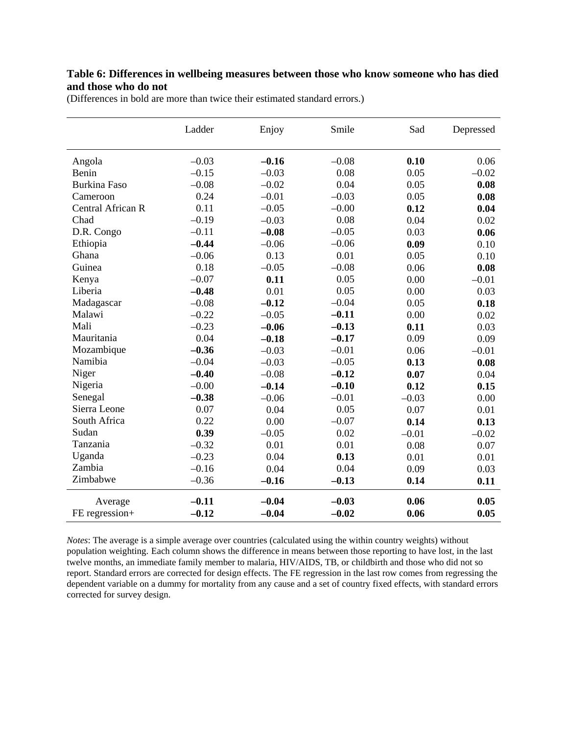## **Table 6: Differences in wellbeing measures between those who know someone who has died and those who do not**

| (Differences in bold are more than twice their estimated standard errors.) |  |
|----------------------------------------------------------------------------|--|
|----------------------------------------------------------------------------|--|

|                     | Ladder  | Enjoy   | Smile   | Sad     | Depressed |
|---------------------|---------|---------|---------|---------|-----------|
| Angola              | $-0.03$ | $-0.16$ | $-0.08$ | 0.10    | 0.06      |
| Benin               | $-0.15$ | $-0.03$ | 0.08    | 0.05    | $-0.02$   |
| <b>Burkina Faso</b> | $-0.08$ | $-0.02$ | 0.04    | 0.05    | 0.08      |
| Cameroon            | 0.24    | $-0.01$ | $-0.03$ | 0.05    | 0.08      |
| Central African R   | 0.11    | $-0.05$ | $-0.00$ | 0.12    | 0.04      |
| Chad                | $-0.19$ | $-0.03$ | 0.08    | 0.04    | 0.02      |
| D.R. Congo          | $-0.11$ | $-0.08$ | $-0.05$ | 0.03    | 0.06      |
| Ethiopia            | $-0.44$ | $-0.06$ | $-0.06$ | 0.09    | 0.10      |
| Ghana               | $-0.06$ | 0.13    | 0.01    | 0.05    | 0.10      |
| Guinea              | 0.18    | $-0.05$ | $-0.08$ | 0.06    | 0.08      |
| Kenya               | $-0.07$ | 0.11    | 0.05    | 0.00    | $-0.01$   |
| Liberia             | $-0.48$ | 0.01    | 0.05    | 0.00    | 0.03      |
| Madagascar          | $-0.08$ | $-0.12$ | $-0.04$ | 0.05    | 0.18      |
| Malawi              | $-0.22$ | $-0.05$ | $-0.11$ | 0.00    | 0.02      |
| Mali                | $-0.23$ | $-0.06$ | $-0.13$ | 0.11    | 0.03      |
| Mauritania          | 0.04    | $-0.18$ | $-0.17$ | 0.09    | 0.09      |
| Mozambique          | $-0.36$ | $-0.03$ | $-0.01$ | 0.06    | $-0.01$   |
| Namibia             | $-0.04$ | $-0.03$ | $-0.05$ | 0.13    | 0.08      |
| Niger               | $-0.40$ | $-0.08$ | $-0.12$ | 0.07    | 0.04      |
| Nigeria             | $-0.00$ | $-0.14$ | $-0.10$ | 0.12    | 0.15      |
| Senegal             | $-0.38$ | $-0.06$ | $-0.01$ | $-0.03$ | 0.00      |
| Sierra Leone        | 0.07    | 0.04    | 0.05    | 0.07    | 0.01      |
| South Africa        | 0.22    | 0.00    | $-0.07$ | 0.14    | 0.13      |
| Sudan               | 0.39    | $-0.05$ | 0.02    | $-0.01$ | $-0.02$   |
| Tanzania            | $-0.32$ | 0.01    | 0.01    | 0.08    | 0.07      |
| Uganda              | $-0.23$ | 0.04    | 0.13    | 0.01    | 0.01      |
| Zambia              | $-0.16$ | 0.04    | 0.04    | 0.09    | 0.03      |
| Zimbabwe            | $-0.36$ | $-0.16$ | $-0.13$ | 0.14    | 0.11      |
| Average             | $-0.11$ | $-0.04$ | $-0.03$ | 0.06    | 0.05      |
| FE regression+      | $-0.12$ | $-0.04$ | $-0.02$ | 0.06    | 0.05      |

*Notes*: The average is a simple average over countries (calculated using the within country weights) without population weighting. Each column shows the difference in means between those reporting to have lost, in the last twelve months, an immediate family member to malaria, HIV/AIDS, TB, or childbirth and those who did not so report. Standard errors are corrected for design effects. The FE regression in the last row comes from regressing the dependent variable on a dummy for mortality from any cause and a set of country fixed effects, with standard errors corrected for survey design.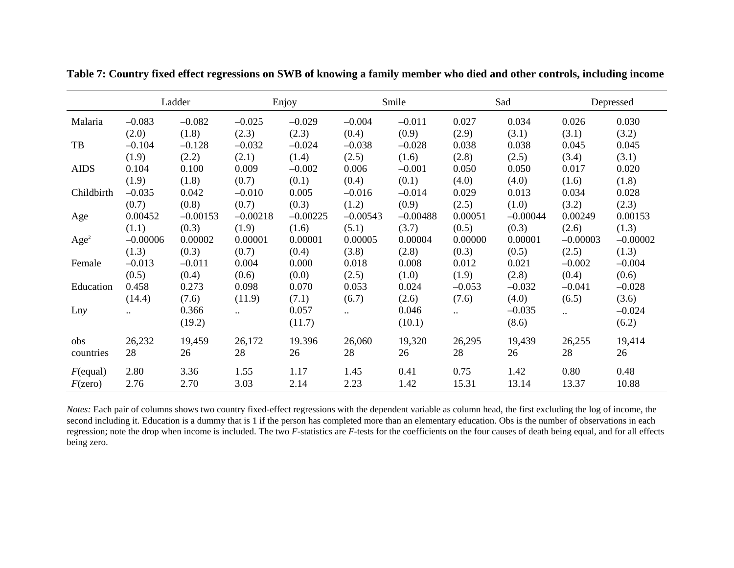|                  |                      | Ladder     |              | Enjoy      |            | Smile      |                                    | Sad        |            | Depressed  |
|------------------|----------------------|------------|--------------|------------|------------|------------|------------------------------------|------------|------------|------------|
| Malaria          | $-0.083$             | $-0.082$   | $-0.025$     | $-0.029$   | $-0.004$   | $-0.011$   | 0.027                              | 0.034      | 0.026      | 0.030      |
|                  | (2.0)                | (1.8)      | (2.3)        | (2.3)      | (0.4)      | (0.9)      | (2.9)                              | (3.1)      | (3.1)      | (3.2)      |
| TB               | $-0.104$             | $-0.128$   | $-0.032$     | $-0.024$   | $-0.038$   | $-0.028$   | 0.038                              | 0.038      | 0.045      | 0.045      |
|                  | (1.9)                | (2.2)      | (2.1)        | (1.4)      | (2.5)      | (1.6)      | (2.8)                              | (2.5)      | (3.4)      | (3.1)      |
| <b>AIDS</b>      | 0.104                | 0.100      | 0.009        | $-0.002$   | 0.006      | $-0.001$   | 0.050                              | 0.050      | 0.017      | 0.020      |
|                  | (1.9)                | (1.8)      | (0.7)        | (0.1)      | (0.4)      | (0.1)      | (4.0)                              | (4.0)      | (1.6)      | (1.8)      |
| Childbirth       | $-0.035$             | 0.042      | $-0.010$     | 0.005      | $-0.016$   | $-0.014$   | 0.029                              | 0.013      | 0.034      | 0.028      |
|                  | (0.7)                | (0.8)      | (0.7)        | (0.3)      | (1.2)      | (0.9)      | (2.5)                              | (1.0)      | (3.2)      | (2.3)      |
| Age              | 0.00452              | $-0.00153$ | $-0.00218$   | $-0.00225$ | $-0.00543$ | $-0.00488$ | 0.00051                            | $-0.00044$ | 0.00249    | 0.00153    |
|                  | (1.1)                | (0.3)      | (1.9)        | (1.6)      | (5.1)      | (3.7)      | (0.5)                              | (0.3)      | (2.6)      | (1.3)      |
| Age <sup>2</sup> | $-0.00006$           | 0.00002    | 0.00001      | 0.00001    | 0.00005    | 0.00004    | 0.00000                            | 0.00001    | $-0.00003$ | $-0.00002$ |
|                  | (1.3)                | (0.3)      | (0.7)        | (0.4)      | (3.8)      | (2.8)      | (0.3)                              | (0.5)      | (2.5)      | (1.3)      |
| Female           | $-0.013$             | $-0.011$   | 0.004        | 0.000      | 0.018      | 0.008      | 0.012                              | 0.021      | $-0.002$   | $-0.004$   |
|                  | (0.5)                | (0.4)      | (0.6)        | (0.0)      | (2.5)      | (1.0)      | (1.9)                              | (2.8)      | (0.4)      | (0.6)      |
| Education        | 0.458                | 0.273      | 0.098        | 0.070      | 0.053      | 0.024      | $-0.053$                           | $-0.032$   | $-0.041$   | $-0.028$   |
|                  | (14.4)               | (7.6)      | (11.9)       | (7.1)      | (6.7)      | (2.6)      | (7.6)                              | (4.0)      | (6.5)      | (3.6)      |
| Lny              | $\ddot{\phantom{a}}$ | 0.366      | $\mathbf{a}$ | 0.057      | $\ddotsc$  | 0.046      | $\mathbb{Z}^{\mathbb{Z}^{\times}}$ | $-0.035$   | $\ddotsc$  | $-0.024$   |
|                  |                      | (19.2)     |              | (11.7)     |            | (10.1)     |                                    | (8.6)      |            | (6.2)      |
| obs              | 26,232               | 19,459     | 26,172       | 19.396     | 26,060     | 19,320     | 26,295                             | 19,439     | 26,255     | 19,414     |
| countries        | 28                   | 26         | 28           | 26         | 28         | 26         | 28                                 | 26         | 28         | 26         |
| $F$ (equal)      | 2.80                 | 3.36       | 1.55         | 1.17       | 1.45       | 0.41       | 0.75                               | 1.42       | 0.80       | 0.48       |
| $F(\text{zero})$ | 2.76                 | 2.70       | 3.03         | 2.14       | 2.23       | 1.42       | 15.31                              | 13.14      | 13.37      | 10.88      |

**Table 7: Country fixed effect regressions on SWB of knowing a family member who died and other controls, including income**

*Notes:* Each pair of columns shows two country fixed-effect regressions with the dependent variable as column head, the first excluding the log of income, the second including it. Education is a dummy that is 1 if the person has completed more than an elementary education. Obs is the number of observations in each regression; note the drop when income is included. The two F-statistics are F-tests for the coefficients on the four causes of death being equal, and for all effects being zero.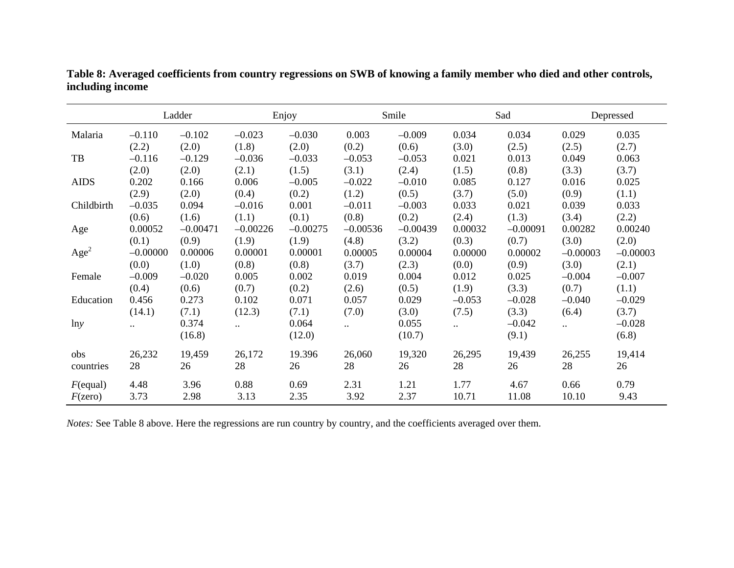|                  |            | Ladder     |            | Enjoy      |                      | Smile      |              | Sad        |                 | Depressed  |
|------------------|------------|------------|------------|------------|----------------------|------------|--------------|------------|-----------------|------------|
| Malaria          | $-0.110$   | $-0.102$   | $-0.023$   | $-0.030$   | 0.003                | $-0.009$   | 0.034        | 0.034      | 0.029           | 0.035      |
|                  | (2.2)      | (2.0)      | (1.8)      | (2.0)      | (0.2)                | (0.6)      | (3.0)        | (2.5)      | (2.5)           | (2.7)      |
| TB               | $-0.116$   | $-0.129$   | $-0.036$   | $-0.033$   | $-0.053$             | $-0.053$   | 0.021        | 0.013      | 0.049           | 0.063      |
|                  | (2.0)      | (2.0)      | (2.1)      | (1.5)      | (3.1)                | (2.4)      | (1.5)        | (0.8)      | (3.3)           | (3.7)      |
| <b>AIDS</b>      | 0.202      | 0.166      | 0.006      | $-0.005$   | $-0.022$             | $-0.010$   | 0.085        | 0.127      | 0.016           | 0.025      |
|                  | (2.9)      | (2.0)      | (0.4)      | (0.2)      | (1.2)                | (0.5)      | (3.7)        | (5.0)      | (0.9)           | (1.1)      |
| Childbirth       | $-0.035$   | 0.094      | $-0.016$   | 0.001      | $-0.011$             | $-0.003$   | 0.033        | 0.021      | 0.039           | 0.033      |
|                  | (0.6)      | (1.6)      | (1.1)      | (0.1)      | (0.8)                | (0.2)      | (2.4)        | (1.3)      | (3.4)           | (2.2)      |
| Age              | 0.00052    | $-0.00471$ | $-0.00226$ | $-0.00275$ | $-0.00536$           | $-0.00439$ | 0.00032      | $-0.00091$ | 0.00282         | 0.00240    |
|                  | (0.1)      | (0.9)      | (1.9)      | (1.9)      | (4.8)                | (3.2)      | (0.3)        | (0.7)      | (3.0)           | (2.0)      |
| Age <sup>2</sup> | $-0.00000$ | 0.00006    | 0.00001    | 0.00001    | 0.00005              | 0.00004    | 0.00000      | 0.00002    | $-0.00003$      | $-0.00003$ |
|                  | (0.0)      | (1.0)      | (0.8)      | (0.8)      | (3.7)                | (2.3)      | (0.0)        | (0.9)      | (3.0)           | (2.1)      |
| Female           | $-0.009$   | $-0.020$   | 0.005      | 0.002      | 0.019                | 0.004      | 0.012        | 0.025      | $-0.004$        | $-0.007$   |
|                  | (0.4)      | (0.6)      | (0.7)      | (0.2)      | (2.6)                | (0.5)      | (1.9)        | (3.3)      | (0.7)           | (1.1)      |
| Education        | 0.456      | 0.273      | 0.102      | 0.071      | 0.057                | 0.029      | $-0.053$     | $-0.028$   | $-0.040$        | $-0.029$   |
|                  | (14.1)     | (7.1)      | (12.3)     | (7.1)      | (7.0)                | (3.0)      | (7.5)        | (3.3)      | (6.4)           | (3.7)      |
| lny              | $\ddotsc$  | 0.374      | $\ddotsc$  | 0.064      | $\ddot{\phantom{a}}$ | 0.055      | $\mathbf{a}$ | $-0.042$   | $\sim 10^{-10}$ | $-0.028$   |
|                  |            | (16.8)     |            | (12.0)     |                      | (10.7)     |              | (9.1)      |                 | (6.8)      |
| obs              | 26,232     | 19,459     | 26,172     | 19.396     | 26,060               | 19,320     | 26,295       | 19,439     | 26,255          | 19,414     |
| countries        | 28         | 26         | 28         | 26         | 28                   | 26         | 28           | 26         | 28              | 26         |
| $F$ (equal)      | 4.48       | 3.96       | 0.88       | 0.69       | 2.31                 | 1.21       | 1.77         | 4.67       | 0.66            | 0.79       |
| F(zero)          | 3.73       | 2.98       | 3.13       | 2.35       | 3.92                 | 2.37       | 10.71        | 11.08      | 10.10           | 9.43       |

**Table 8: Averaged coefficients from country regressions on SWB of knowing a family member who died and other controls, including income**

*Notes:* See Table 8 above. Here the regressions are run country by country, and the coefficients averaged over them.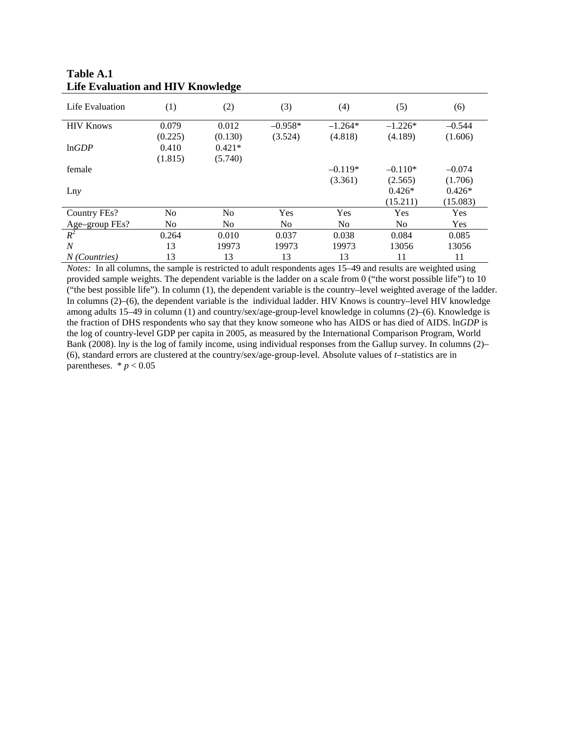| Life Evaluation      | (1)     | (2)            | (3)       | (4)            | (5)       | (6)      |
|----------------------|---------|----------------|-----------|----------------|-----------|----------|
| <b>HIV Knows</b>     | 0.079   | 0.012          | $-0.958*$ | $-1.264*$      | $-1.226*$ | $-0.544$ |
|                      | (0.225) | (0.130)        | (3.524)   | (4.818)        | (4.189)   | (1.606)  |
| lnGDP                | 0.410   | $0.421*$       |           |                |           |          |
|                      | (1.815) | (5.740)        |           |                |           |          |
| female               |         |                |           | $-0.119*$      | $-0.110*$ | $-0.074$ |
|                      |         |                |           | (3.361)        | (2.565)   | (1.706)  |
| Lny                  |         |                |           |                | $0.426*$  | $0.426*$ |
|                      |         |                |           |                | (15.211)  | (15.083) |
| Country FEs?         | No.     | N <sub>0</sub> | Yes       | Yes            | Yes       | Yes      |
| Age-group FEs?       | No      | No             | No.       | N <sub>o</sub> | No.       | Yes      |
| $R^2$                | 0.264   | 0.010          | 0.037     | 0.038          | 0.084     | 0.085    |
| $\overline{N}$       | 13      | 19973          | 19973     | 19973          | 13056     | 13056    |
| <i>N</i> (Countries) | 13      | 13             | 13        | 13             | 11        | 11       |

## **Table A.1 Life Evaluation and HIV Knowledge**

*Notes:* In all columns, the sample is restricted to adult respondents ages 15–49 and results are weighted using provided sample weights. The dependent variable is the ladder on a scale from 0 ("the worst possible life") to 10 ("the best possible life"). In column (1), the dependent variable is the country–level weighted average of the ladder. In columns (2)–(6), the dependent variable is the individual ladder. HIV Knows is country–level HIV knowledge among adults 15–49 in column (1) and country/sex/age-group-level knowledge in columns (2)–(6). Knowledge is the fraction of DHS respondents who say that they know someone who has AIDS or has died of AIDS. ln*GDP* is the log of country-level GDP per capita in 2005, as measured by the International Comparison Program, World Bank (2008). ln*y* is the log of family income, using individual responses from the Gallup survey. In columns (2)– (6), standard errors are clustered at the country/sex/age-group-level. Absolute values of *t*–statistics are in parentheses.  $* p < 0.05$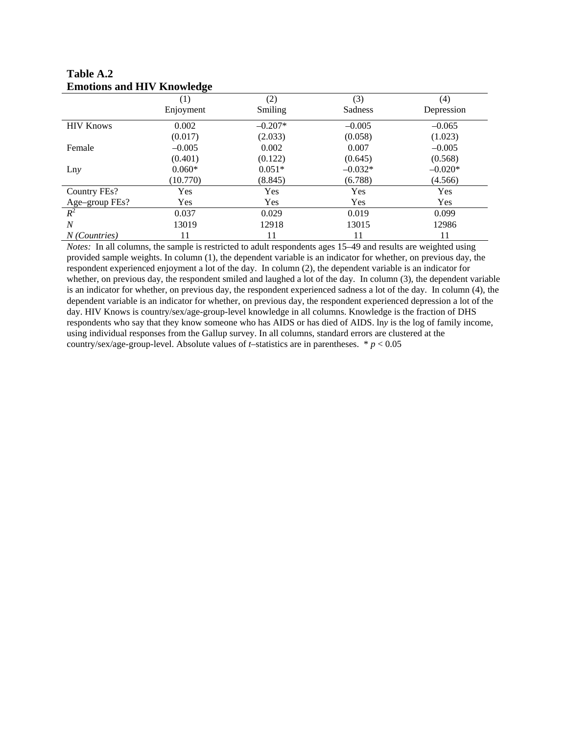| Emonons and TH , Knowledge |            |           |            |            |
|----------------------------|------------|-----------|------------|------------|
|                            | (1)        | (2)       | (3)        | (4)        |
|                            | Enjoyment  | Smiling   | Sadness    | Depression |
| <b>HIV Knows</b>           | 0.002      | $-0.207*$ | $-0.005$   | $-0.065$   |
|                            | (0.017)    | (2.033)   | (0.058)    | (1.023)    |
| Female                     | $-0.005$   | 0.002     | 0.007      | $-0.005$   |
|                            | (0.401)    | (0.122)   | (0.645)    | (0.568)    |
| Lny                        | $0.060*$   | $0.051*$  | $-0.032*$  | $-0.020*$  |
|                            | (10.770)   | (8.845)   | (6.788)    | (4.566)    |
| Country FEs?               | Yes        | Yes       | Yes        | Yes        |
| Age-group FEs?             | <b>Yes</b> | Yes       | <b>Yes</b> | <b>Yes</b> |
| $R^2$                      | 0.037      | 0.029     | 0.019      | 0.099      |
| $\boldsymbol{N}$           | 13019      | 12918     | 13015      | 12986      |
| N (Countries)              | 11         | 11        | 11         | 11         |

**Table A.2 Emotions and HIV Knowledge** 

*Notes:* In all columns, the sample is restricted to adult respondents ages 15–49 and results are weighted using provided sample weights. In column (1), the dependent variable is an indicator for whether, on previous day, the respondent experienced enjoyment a lot of the day. In column (2), the dependent variable is an indicator for whether, on previous day, the respondent smiled and laughed a lot of the day. In column (3), the dependent variable is an indicator for whether, on previous day, the respondent experienced sadness a lot of the day. In column (4), the dependent variable is an indicator for whether, on previous day, the respondent experienced depression a lot of the day. HIV Knows is country/sex/age-group-level knowledge in all columns. Knowledge is the fraction of DHS respondents who say that they know someone who has AIDS or has died of AIDS. ln*y* is the log of family income, using individual responses from the Gallup survey. In all columns, standard errors are clustered at the country/sex/age-group-level. Absolute values of *t*-statistics are in parentheses.  $* p < 0.05$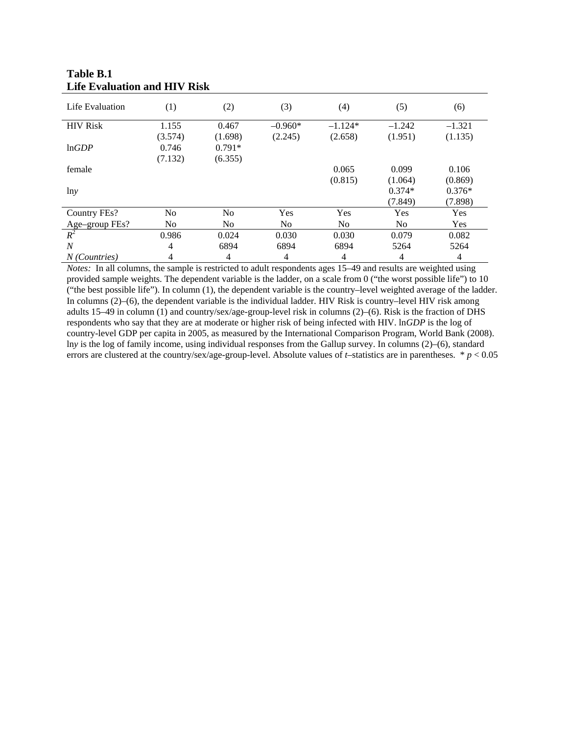| Life Evaluation | (1)            | (2)            | (3)       | (4)            | (5)            | (6)      |
|-----------------|----------------|----------------|-----------|----------------|----------------|----------|
| <b>HIV</b> Risk | 1.155          | 0.467          | $-0.960*$ | $-1.124*$      | $-1.242$       | $-1.321$ |
|                 | (3.574)        | (1.698)        | (2.245)   | (2.658)        | (1.951)        | (1.135)  |
| lnGDP           | 0.746          | $0.791*$       |           |                |                |          |
|                 | (7.132)        | (6.355)        |           |                |                |          |
| female          |                |                |           | 0.065          | 0.099          | 0.106    |
|                 |                |                |           | (0.815)        | (1.064)        | (0.869)  |
| lny             |                |                |           |                | $0.374*$       | $0.376*$ |
|                 |                |                |           |                | (7.849)        | (7.898)  |
| Country FEs?    | No             | N <sub>0</sub> | Yes       | Yes            | Yes            | Yes      |
| Age-group FEs?  | N <sub>0</sub> | N <sub>0</sub> | No.       | N <sub>0</sub> | N <sub>0</sub> | Yes      |
| $R^2$           | 0.986          | 0.024          | 0.030     | 0.030          | 0.079          | 0.082    |
| $\overline{N}$  | 4              | 6894           | 6894      | 6894           | 5264           | 5264     |
| N (Countries)   | 4              | 4              | 4         | 4              | 4              | 4        |

## **Table B.1 Life Evaluation and HIV Risk**

*Notes:* In all columns, the sample is restricted to adult respondents ages 15–49 and results are weighted using provided sample weights. The dependent variable is the ladder, on a scale from 0 ("the worst possible life") to 10 ("the best possible life"). In column (1), the dependent variable is the country–level weighted average of the ladder. In columns (2)–(6), the dependent variable is the individual ladder. HIV Risk is country–level HIV risk among adults 15–49 in column (1) and country/sex/age-group-level risk in columns (2)–(6). Risk is the fraction of DHS respondents who say that they are at moderate or higher risk of being infected with HIV. ln*GDP* is the log of country-level GDP per capita in 2005, as measured by the International Comparison Program, World Bank (2008). ln*y* is the log of family income, using individual responses from the Gallup survey. In columns (2)–(6), standard errors are clustered at the country/sex/age-group-level. Absolute values of *t*–statistics are in parentheses. \* *p* < 0.05